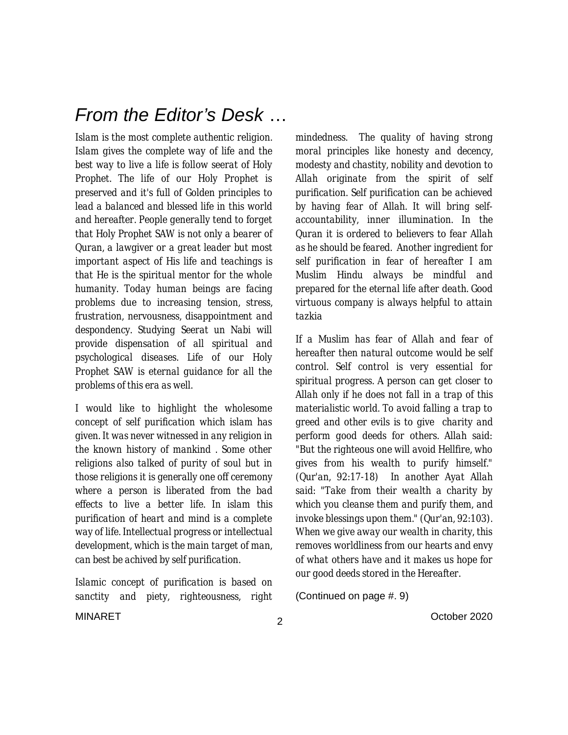### *From the Editor's Desk* …

*Islam is the most complete authentic religion. Islam gives the complete way of life and the best way to live a life is follow seerat of Holy Prophet. The life of our Holy Prophet is preserved and it's full of Golden principles to lead a balanced and blessed life in this world and hereafter. People generally tend to forget that Holy Prophet SAW is not only a bearer of Quran, a lawgiver or a great leader but most important aspect of His life and teachings is that He is the spiritual mentor for the whole humanity. Today human beings are facing problems due to increasing tension, stress, frustration, nervousness, disappointment and despondency. Studying Seerat un Nabi will provide dispensation of all spiritual and psychological diseases. Life of our Holy Prophet SAW is eternal guidance for all the problems of this era as well.* 

*I would like to highlight the wholesome concept of self purification which islam has given. It was never witnessed in any religion in the known history of mankind . Some other religions also talked of purity of soul but in those religions it is generally one off ceremony where a person is liberated from the bad effects to live a better life. In islam this purification of heart and mind is a complete way of life. Intellectual progress or intellectual development, which is the main target of man, can best be achived by self purification.*

*Islamic concept of purification is based on sanctity and piety, righteousness, right*  *mindedness. The quality of having strong moral principles like honesty and decency, modesty and chastity, nobility and devotion to Allah originate from the spirit of self purification. Self purification can be achieved by having fear of Allah. It will bring selfaccountability, inner illumination. In the Quran it is ordered to believers to fear Allah as he should be feared. Another ingredient for self purification in fear of hereafter I am Muslim Hindu always be mindful and prepared for the eternal life after death. Good virtuous company is always helpful to attain tazkia* 

*If a Muslim has fear of Allah and fear of hereafter then natural outcome would be self control. Self control is very essential for spiritual progress. A person can get closer to Allah only if he does not fall in a trap of this materialistic world. To avoid falling a trap to greed and other evils is to give charity and perform good deeds for others. Allah said: "But the righteous one will avoid Hellfire, who gives from his wealth to purify himself." (Qur'an, 92:17-18) In another Ayat Allah said: "Take from their wealth a charity by which you cleanse them and purify them, and invoke blessings upon them." (Qur'an, 92:103). When we give away our wealth in charity, this removes worldliness from our hearts and envy of what others have and it makes us hope for our good deeds stored in the Hereafter.* 

(Continued on page #. 9)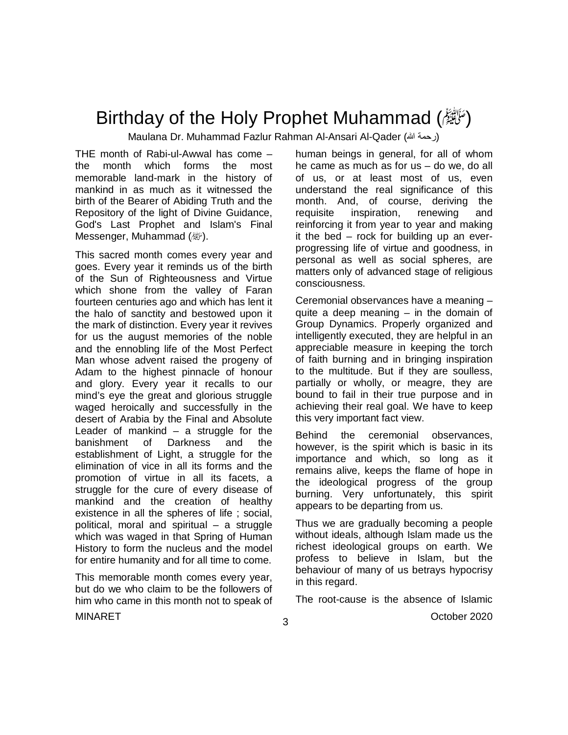## Birthday of the Holy Prophet Muhammad ( $\mathcal{E}$ )

Maulana Dr. Muhammad Fazlur Rahman Al-Ansari Al-Qader (رحمة الله)

THE month of Rabi-ul-Awwal has come – the month which forms the most memorable land-mark in the history of mankind in as much as it witnessed the birth of the Bearer of Abiding Truth and the Repository of the light of Divine Guidance, God's Last Prophet and Islam's Final Messenger, Muhammad (*剛*).

This sacred month comes every year and goes. Every year it reminds us of the birth of the Sun of Righteousness and Virtue which shone from the valley of Faran fourteen centuries ago and which has lent it the halo of sanctity and bestowed upon it the mark of distinction. Every year it revives for us the august memories of the noble and the ennobling life of the Most Perfect Man whose advent raised the progeny of Adam to the highest pinnacle of honour and glory. Every year it recalls to our mind's eye the great and glorious struggle waged heroically and successfully in the desert of Arabia by the Final and Absolute Leader of mankind  $-$  a struggle for the banishment of Darkness and the establishment of Light, a struggle for the elimination of vice in all its forms and the promotion of virtue in all its facets, a struggle for the cure of every disease of mankind and the creation of healthy existence in all the spheres of life ; social, political, moral and spiritual – a struggle which was waged in that Spring of Human History to form the nucleus and the model for entire humanity and for all time to come.

This memorable month comes every year, but do we who claim to be the followers of him who came in this month not to speak of human beings in general, for all of whom he came as much as for us – do we, do all of us, or at least most of us, even understand the real significance of this month. And, of course, deriving the requisite inspiration, renewing and reinforcing it from year to year and making it the bed – rock for building up an everprogressing life of virtue and goodness, in personal as well as social spheres, are matters only of advanced stage of religious consciousness.

Ceremonial observances have a meaning – quite a deep meaning – in the domain of Group Dynamics. Properly organized and intelligently executed, they are helpful in an appreciable measure in keeping the torch of faith burning and in bringing inspiration to the multitude. But if they are soulless, partially or wholly, or meagre, they are bound to fail in their true purpose and in achieving their real goal. We have to keep this very important fact view.

Behind the ceremonial observances, however, is the spirit which is basic in its importance and which, so long as it remains alive, keeps the flame of hope in the ideological progress of the group burning. Very unfortunately, this spirit appears to be departing from us.

Thus we are gradually becoming a people without ideals, although Islam made us the richest ideological groups on earth. We profess to believe in Islam, but the behaviour of many of us betrays hypocrisy in this regard.

The root-cause is the absence of Islamic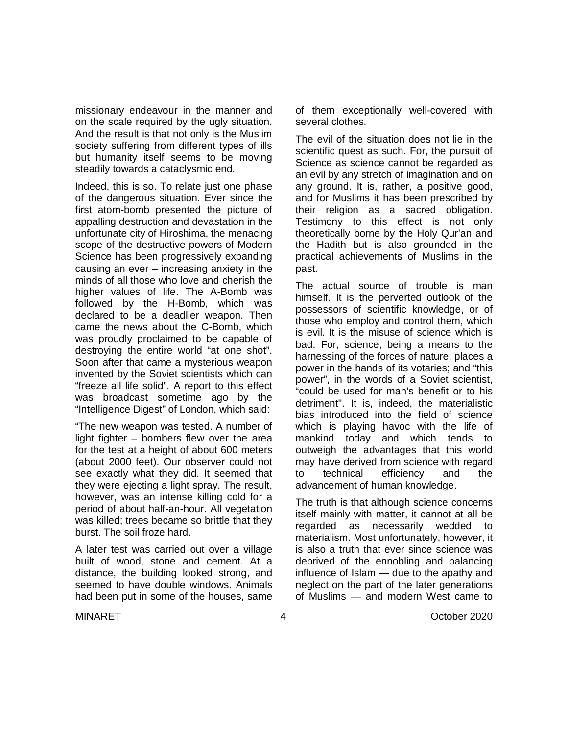missionary endeavour in the manner and on the scale required by the ugly situation. And the result is that not only is the Muslim society suffering from different types of ills but humanity itself seems to be moving steadily towards a cataclysmic end.

Indeed, this is so. To relate just one phase of the dangerous situation. Ever since the first atom-bomb presented the picture of appalling destruction and devastation in the unfortunate city of Hiroshima, the menacing scope of the destructive powers of Modern Science has been progressively expanding causing an ever – increasing anxiety in the minds of all those who love and cherish the higher values of life. The A-Bomb was followed by the H-Bomb, which was declared to be a deadlier weapon. Then came the news about the C-Bomb, which was proudly proclaimed to be capable of destroying the entire world "at one shot". Soon after that came a mysterious weapon invented by the Soviet scientists which can "freeze all life solid". A report to this effect was broadcast sometime ago by the "Intelligence Digest" of London, which said:

"The new weapon was tested. A number of light fighter – bombers flew over the area for the test at a height of about 600 meters (about 2000 feet). Our observer could not see exactly what they did. It seemed that they were ejecting a light spray. The result, however, was an intense killing cold for a period of about half-an-hour. All vegetation was killed; trees became so brittle that they burst. The soil froze hard.

A later test was carried out over a village built of wood, stone and cement. At a distance, the building looked strong, and seemed to have double windows. Animals had been put in some of the houses, same of them exceptionally well-covered with several clothes.

The evil of the situation does not lie in the scientific quest as such. For, the pursuit of Science as science cannot be regarded as an evil by any stretch of imagination and on any ground. It is, rather, a positive good, and for Muslims it has been prescribed by their religion as a sacred obligation. Testimony to this effect is not only theoretically borne by the Holy Qur'an and the Hadith but is also grounded in the practical achievements of Muslims in the past.

The actual source of trouble is man himself. It is the perverted outlook of the possessors of scientific knowledge, or of those who employ and control them, which is evil. It is the misuse of science which is bad. For, science, being a means to the harnessing of the forces of nature, places a power in the hands of its votaries; and "this power", in the words of a Soviet scientist, "could be used for man's benefit or to his detriment". It is, indeed, the materialistic bias introduced into the field of science which is playing havoc with the life of mankind today and which tends to outweigh the advantages that this world may have derived from science with regard to technical efficiency and the advancement of human knowledge.

The truth is that although science concerns itself mainly with matter, it cannot at all be regarded as necessarily wedded to materialism. Most unfortunately, however, it is also a truth that ever since science was deprived of the ennobling and balancing influence of Islam — due to the apathy and neglect on the part of the later generations of Muslims — and modern West came to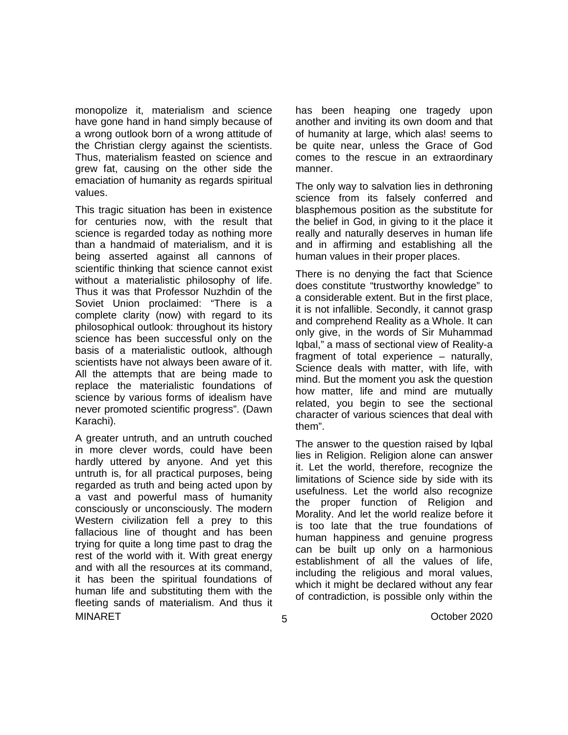monopolize it, materialism and science have gone hand in hand simply because of a wrong outlook born of a wrong attitude of the Christian clergy against the scientists. Thus, materialism feasted on science and grew fat, causing on the other side the emaciation of humanity as regards spiritual values.

This tragic situation has been in existence for centuries now, with the result that science is regarded today as nothing more than a handmaid of materialism, and it is being asserted against all cannons of scientific thinking that science cannot exist without a materialistic philosophy of life. Thus it was that Professor Nuzhdin of the Soviet Union proclaimed: "There is a complete clarity (now) with regard to its philosophical outlook: throughout its history science has been successful only on the basis of a materialistic outlook, although scientists have not always been aware of it. All the attempts that are being made to replace the materialistic foundations of science by various forms of idealism have never promoted scientific progress". (Dawn Karachi).

MINARET October 2020 A greater untruth, and an untruth couched in more clever words, could have been hardly uttered by anyone. And yet this untruth is, for all practical purposes, being regarded as truth and being acted upon by a vast and powerful mass of humanity consciously or unconsciously. The modern Western civilization fell a prey to this fallacious line of thought and has been trying for quite a long time past to drag the rest of the world with it. With great energy and with all the resources at its command, it has been the spiritual foundations of human life and substituting them with the fleeting sands of materialism. And thus it

has been heaping one tragedy upon another and inviting its own doom and that of humanity at large, which alas! seems to be quite near, unless the Grace of God comes to the rescue in an extraordinary manner.

The only way to salvation lies in dethroning science from its falsely conferred and blasphemous position as the substitute for the belief in God, in giving to it the place it really and naturally deserves in human life and in affirming and establishing all the human values in their proper places.

There is no denying the fact that Science does constitute "trustworthy knowledge" to a considerable extent. But in the first place, it is not infallible. Secondly, it cannot grasp and comprehend Reality as a Whole. It can only give, in the words of Sir Muhammad Iqbal," a mass of sectional view of Reality-a fragment of total experience – naturally, Science deals with matter, with life, with mind. But the moment you ask the question how matter, life and mind are mutually related, you begin to see the sectional character of various sciences that deal with them".

The answer to the question raised by Iqbal lies in Religion. Religion alone can answer it. Let the world, therefore, recognize the limitations of Science side by side with its usefulness. Let the world also recognize the proper function of Religion and Morality. And let the world realize before it is too late that the true foundations of human happiness and genuine progress can be built up only on a harmonious establishment of all the values of life, including the religious and moral values, which it might be declared without any fear of contradiction, is possible only within the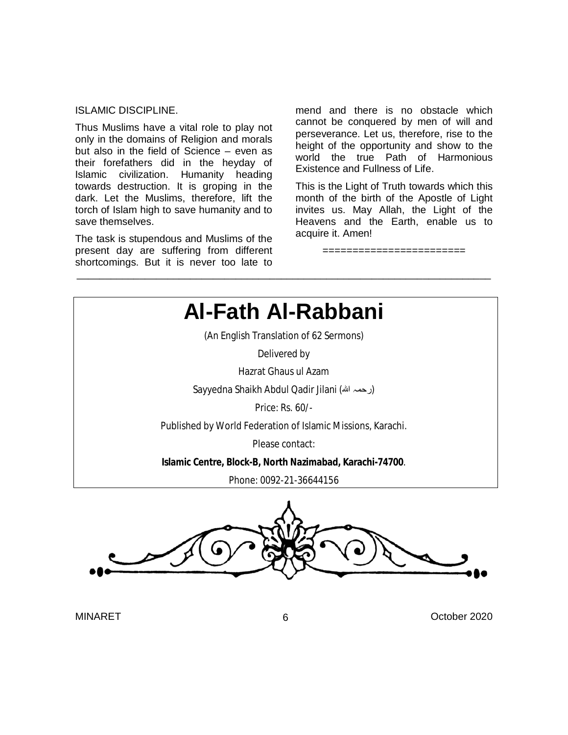#### ISLAMIC DISCIPLINE.

Thus Muslims have a vital role to play not only in the domains of Religion and morals but also in the field of Science – even as their forefathers did in the heyday of Islamic civilization. Humanity heading towards destruction. It is groping in the dark. Let the Muslims, therefore, lift the torch of Islam high to save humanity and to save themselves.

The task is stupendous and Muslims of the present day are suffering from different shortcomings. But it is never too late to mend and there is no obstacle which cannot be conquered by men of will and perseverance. Let us, therefore, rise to the height of the opportunity and show to the world the true Path of Harmonious Existence and Fullness of Life.

This is the Light of Truth towards which this month of the birth of the Apostle of Light invites us. May Allah, the Light of the Heavens and the Earth, enable us to acquire it. Amen!

========================



\_\_\_\_\_\_\_\_\_\_\_\_\_\_\_\_\_\_\_\_\_\_\_\_\_\_\_\_\_\_\_\_\_\_\_\_\_\_\_\_\_\_\_\_\_\_\_\_\_\_\_\_\_\_\_\_\_\_\_\_\_\_\_\_\_\_\_\_\_\_\_\_\_

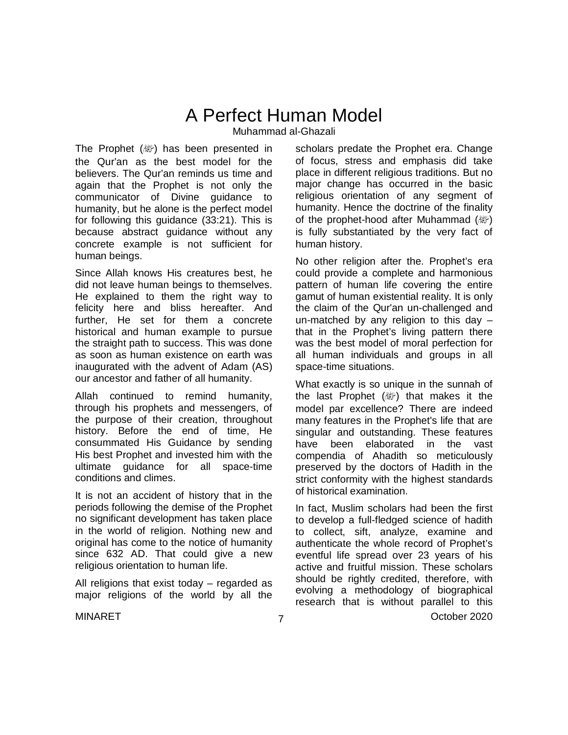## A Perfect Human Model

Muhammad al-Ghazali

The Prophet (@) has been presented in the Qur'an as the best model for the believers. The Qur'an reminds us time and again that the Prophet is not only the communicator of Divine guidance to humanity, but he alone is the perfect model for following this guidance (33:21). This is because abstract guidance without any concrete example is not sufficient for human beings.

Since Allah knows His creatures best, he did not leave human beings to themselves. He explained to them the right way to felicity here and bliss hereafter. And further, He set for them a concrete historical and human example to pursue the straight path to success. This was done as soon as human existence on earth was inaugurated with the advent of Adam (AS) our ancestor and father of all humanity.

Allah continued to remind humanity, through his prophets and messengers, of the purpose of their creation, throughout history. Before the end of time, He consummated His Guidance by sending His best Prophet and invested him with the ultimate guidance for all space-time conditions and climes.

It is not an accident of history that in the periods following the demise of the Prophet no significant development has taken place in the world of religion. Nothing new and original has come to the notice of humanity since 632 AD. That could give a new religious orientation to human life.

All religions that exist today – regarded as major religions of the world by all the scholars predate the Prophet era. Change of focus, stress and emphasis did take place in different religious traditions. But no major change has occurred in the basic religious orientation of any segment of humanity. Hence the doctrine of the finality of the prophet-hood after Muhammad (變) is fully substantiated by the very fact of human history.

No other religion after the. Prophet's era could provide a complete and harmonious pattern of human life covering the entire gamut of human existential reality. It is only the claim of the Qur'an un-challenged and un-matched by any religion to this day – that in the Prophet's living pattern there was the best model of moral perfection for all human individuals and groups in all space-time situations.

What exactly is so unique in the sunnah of the last Prophet  $(\&$ ) that makes it the model par excellence? There are indeed many features in the Prophet's life that are singular and outstanding. These features have been elaborated in the vast compendia of Ahadith so meticulously preserved by the doctors of Hadith in the strict conformity with the highest standards of historical examination.

MINARET October 2020 In fact, Muslim scholars had been the first to develop a full-fledged science of hadith to collect, sift, analyze, examine and authenticate the whole record of Prophet's eventful life spread over 23 years of his active and fruitful mission. These scholars should be rightly credited, therefore, with evolving a methodology of biographical research that is without parallel to this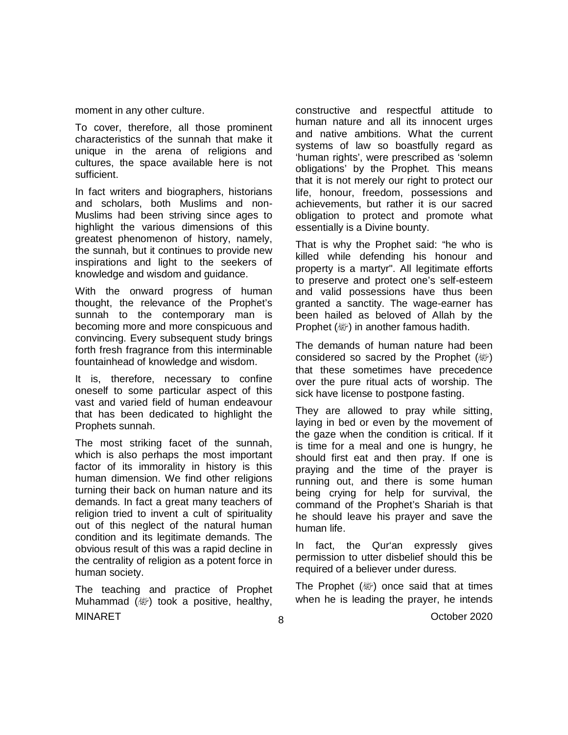moment in any other culture.

To cover, therefore, all those prominent characteristics of the sunnah that make it unique in the arena of religions and cultures, the space available here is not sufficient.

In fact writers and biographers, historians and scholars, both Muslims and non-Muslims had been striving since ages to highlight the various dimensions of this greatest phenomenon of history, namely, the sunnah, but it continues to provide new inspirations and light to the seekers of knowledge and wisdom and guidance.

With the onward progress of human thought, the relevance of the Prophet's sunnah to the contemporary man is becoming more and more conspicuous and convincing. Every subsequent study brings forth fresh fragrance from this interminable fountainhead of knowledge and wisdom.

It is, therefore, necessary to confine oneself to some particular aspect of this vast and varied field of human endeavour that has been dedicated to highlight the Prophets sunnah.

The most striking facet of the sunnah, which is also perhaps the most important factor of its immorality in history is this human dimension. We find other religions turning their back on human nature and its demands. In fact a great many teachers of religion tried to invent a cult of spirituality out of this neglect of the natural human condition and its legitimate demands. The obvious result of this was a rapid decline in the centrality of religion as a potent force in human society.

MINARET October 2020 The teaching and practice of Prophet Muhammad  $(\&$ ) took a positive, healthy,

constructive and respectful attitude to human nature and all its innocent urges and native ambitions. What the current systems of law so boastfully regard as 'human rights', were prescribed as 'solemn obligations' by the Prophet. This means that it is not merely our right to protect our life, honour, freedom, possessions and achievements, but rather it is our sacred obligation to protect and promote what essentially is a Divine bounty.

That is why the Prophet said: "he who is killed while defending his honour and property is a martyr". All legitimate efforts to preserve and protect one's self-esteem and valid possessions have thus been granted a sanctity. The wage-earner has been hailed as beloved of Allah by the Prophet (ﷺ) in another famous hadith.

The demands of human nature had been considered so sacred by the Prophet (@) that these sometimes have precedence over the pure ritual acts of worship. The sick have license to postpone fasting.

They are allowed to pray while sitting, laying in bed or even by the movement of the gaze when the condition is critical. If it is time for a meal and one is hungry, he should first eat and then pray. If one is praying and the time of the prayer is running out, and there is some human being crying for help for survival, the command of the Prophet's Shariah is that he should leave his prayer and save the human life.

In fact, the Qur'an expressly gives permission to utter disbelief should this be required of a believer under duress.

The Prophet ( ) once said that at times when he is leading the prayer, he intends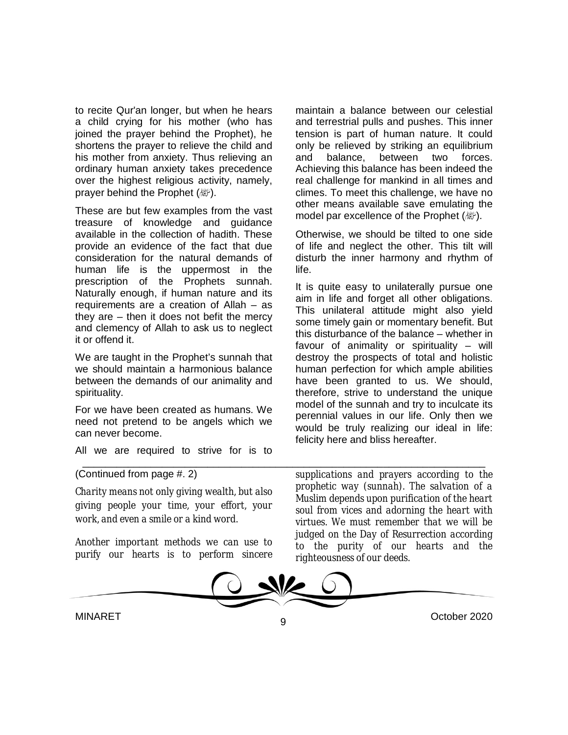to recite Qur'an longer, but when he hears a child crying for his mother (who has joined the prayer behind the Prophet), he shortens the prayer to relieve the child and his mother from anxiety. Thus relieving an ordinary human anxiety takes precedence over the highest religious activity, namely, prayer behind the Prophet (。).

These are but few examples from the vast treasure of knowledge and guidance available in the collection of hadith. These provide an evidence of the fact that due consideration for the natural demands of human life is the uppermost in the prescription of the Prophets sunnah. Naturally enough, if human nature and its requirements are a creation of Allah – as they are – then it does not befit the mercy and clemency of Allah to ask us to neglect it or offend it.

We are taught in the Prophet's sunnah that we should maintain a harmonious balance between the demands of our animality and spirituality.

For we have been created as humans. We need not pretend to be angels which we can never become.

All we are required to strive for is to

maintain a balance between our celestial and terrestrial pulls and pushes. This inner tension is part of human nature. It could only be relieved by striking an equilibrium and balance, between two forces. Achieving this balance has been indeed the real challenge for mankind in all times and climes. To meet this challenge, we have no other means available save emulating the model par excellence of the Prophet (a).

Otherwise, we should be tilted to one side of life and neglect the other. This tilt will disturb the inner harmony and rhythm of life.

It is quite easy to unilaterally pursue one aim in life and forget all other obligations. This unilateral attitude might also yield some timely gain or momentary benefit. But this disturbance of the balance – whether in favour of animality or spirituality – will destroy the prospects of total and holistic human perfection for which ample abilities have been granted to us. We should, therefore, strive to understand the unique model of the sunnah and try to inculcate its perennial values in our life. Only then we would be truly realizing our ideal in life: felicity here and bliss hereafter.

(Continued from page #. 2)

*Charity means not only giving wealth, but also giving people your time, your effort, your work, and even a smile or a kind word.*

*Another important methods we can use to purify our hearts is to perform sincere*  *supplications and prayers according to the prophetic way (sunnah). The salvation of a Muslim depends upon purification of the heart soul from vices and adorning the heart with virtues. We must remember that we will be judged on the Day of Resurrection according to the purity of our hearts and the righteousness of our deeds.*



\_\_\_\_\_\_\_\_\_\_\_\_\_\_\_\_\_\_\_\_\_\_\_\_\_\_\_\_\_\_\_\_\_\_\_\_\_\_\_\_\_\_\_\_\_\_\_\_\_\_\_\_\_\_\_\_\_\_\_\_\_\_\_\_\_\_\_\_\_\_\_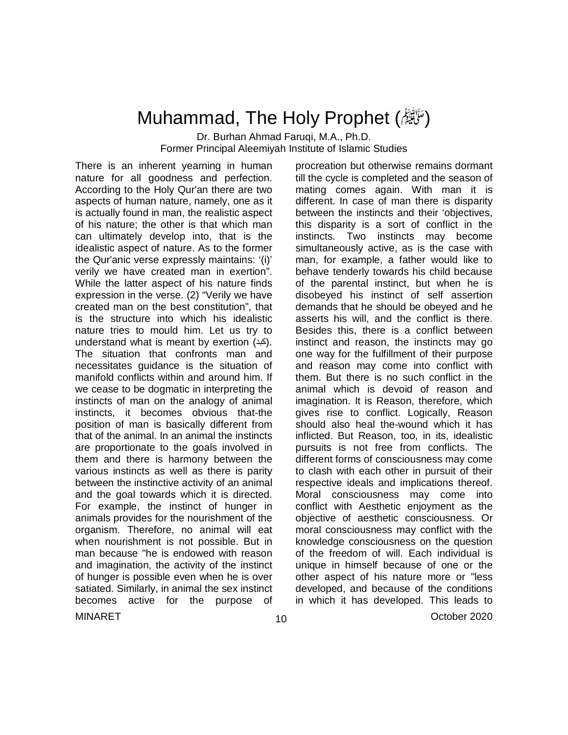### Muhammad, The Holy Prophet (رَحَالِيَّةُ)

Dr. Burhan Ahmad Faruqi, M.A., Ph.D.

Former Principal Aleemiyah Institute of Islamic Studies

There is an inherent yearning in human nature for all goodness and perfection. According to the Holy Qur'an there are two aspects of human nature, namely, one as it is actually found in man, the realistic aspect of his nature; the other is that which man can ultimately develop into, that is the idealistic aspect of nature. As to the former the Qur'anic verse expressly maintains: '(i)' verily we have created man in exertion". While the latter aspect of his nature finds expression in the verse. (2) "Verily we have created man on the best constitution", that is the structure into which his idealistic nature tries to mould him. Let us try to understand what is meant by exertion (کبد). The situation that confronts man and necessitates guidance is the situation of manifold conflicts within and around him. If we cease to be dogmatic in interpreting the instincts of man on the analogy of animal instincts, it becomes obvious that-the position of man is basically different from that of the animal. In an animal the instincts are proportionate to the goals involved in them and there is harmony between the various instincts as well as there is parity between the instinctive activity of an animal and the goal towards which it is directed. For example, the instinct of hunger in animals provides for the nourishment of the organism. Therefore, no animal will eat when nourishment is not possible. But in man because "he is endowed with reason and imagination, the activity of the instinct of hunger is possible even when he is over satiated. Similarly, in animal the sex instinct becomes active for the purpose of

procreation but otherwise remains dormant till the cycle is completed and the season of mating comes again. With man it is different. In case of man there is disparity between the instincts and their 'objectives, this disparity is a sort of conflict in the instincts. Two instincts may become simultaneously active, as is the case with man, for example, a father would like to behave tenderly towards his child because of the parental instinct, but when he is disobeyed his instinct of self assertion demands that he should be obeyed and he asserts his will, and the conflict is there. Besides this, there is a conflict between instinct and reason, the instincts may go one way for the fulfillment of their purpose and reason may come into conflict with them. But there is no such conflict in the animal which is devoid of reason and imagination. It is Reason, therefore, which gives rise to conflict. Logically, Reason should also heal the-wound which it has inflicted. But Reason, too, in its, idealistic pursuits is not free from conflicts. The different forms of consciousness may come to clash with each other in pursuit of their respective ideals and implications thereof. Moral consciousness may come into conflict with Aesthetic enjoyment as the objective of aesthetic consciousness. Or moral consciousness may conflict with the knowledge consciousness on the question of the freedom of will. Each individual is unique in himself because of one or the other aspect of his nature more or "less developed, and because of the conditions in which it has developed. This leads to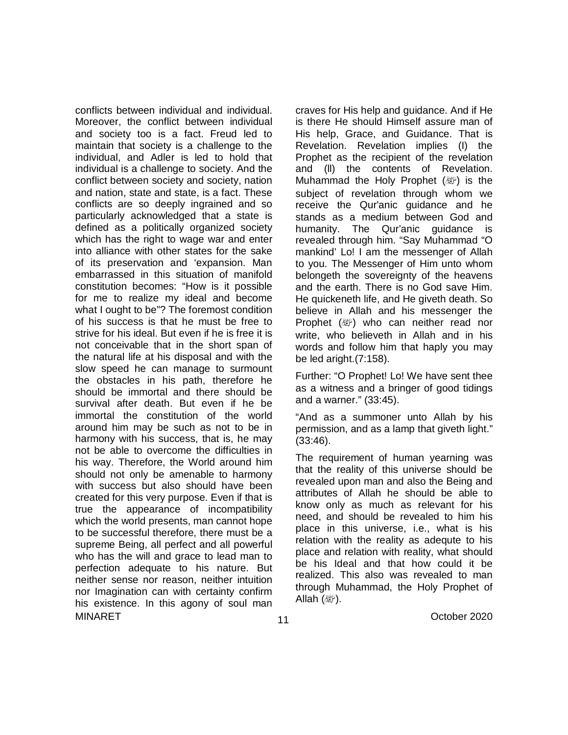MINARET October 2020 conflicts between individual and individual. Moreover, the conflict between individual and society too is a fact. Freud led to maintain that society is a challenge to the individual, and Adler is led to hold that individual is a challenge to society. And the conflict between society and society, nation and nation, state and state, is a fact. These conflicts are so deeply ingrained and so particularly acknowledged that a state is defined as a politically organized society which has the right to wage war and enter into alliance with other states for the sake of its preservation and 'expansion. Man embarrassed in this situation of manifold constitution becomes: "How is it possible for me to realize my ideal and become what I ought to be"? The foremost condition of his success is that he must be free to strive for his ideal. But even if he is free it is not conceivable that in the short span of the natural life at his disposal and with the slow speed he can manage to surmount the obstacles in his path, therefore he should be immortal and there should be survival after death. But even if he be immortal the constitution of the world around him may be such as not to be in harmony with his success, that is, he may not be able to overcome the difficulties in his way. Therefore, the World around him should not only be amenable to harmony with success but also should have been created for this very purpose. Even if that is true the appearance of incompatibility which the world presents, man cannot hope to be successful therefore, there must be a supreme Being, all perfect and all powerful who has the will and grace to lead man to perfection adequate to his nature. But neither sense nor reason, neither intuition nor Imagination can with certainty confirm his existence. In this agony of soul man

craves for His help and guidance. And if He is there He should Himself assure man of His help, Grace, and Guidance. That is Revelation. Revelation implies (I) the Prophet as the recipient of the revelation and (ll) the contents of Revelation. Muhammad the Holy Prophet  $(\mathbb{W})$  is the subject of revelation through whom we receive the Qur'anic guidance and he stands as a medium between God and humanity. The Qur'anic guidance is revealed through him. "Say Muhammad "O mankind' Lo! I am the messenger of Allah to you. The Messenger of Him unto whom belongeth the sovereignty of the heavens and the earth. There is no God save Him. He quickeneth life, and He giveth death. So believe in Allah and his messenger the Prophet ( ) who can neither read nor write, who believeth in Allah and in his words and follow him that haply you may be led aright.(7:158).

Further: "O Prophet! Lo! We have sent thee as a witness and a bringer of good tidings and a warner." (33:45).

"And as a summoner unto Allah by his permission, and as a lamp that giveth light." (33:46).

The requirement of human yearning was that the reality of this universe should be revealed upon man and also the Being and attributes of Allah he should be able to know only as much as relevant for his need, and should be revealed to him his place in this universe, i.e., what is his relation with the reality as adequte to his place and relation with reality, what should be his Ideal and that how could it be realized. This also was revealed to man through Muhammad, the Holy Prophet of Allah  $(\&$ ).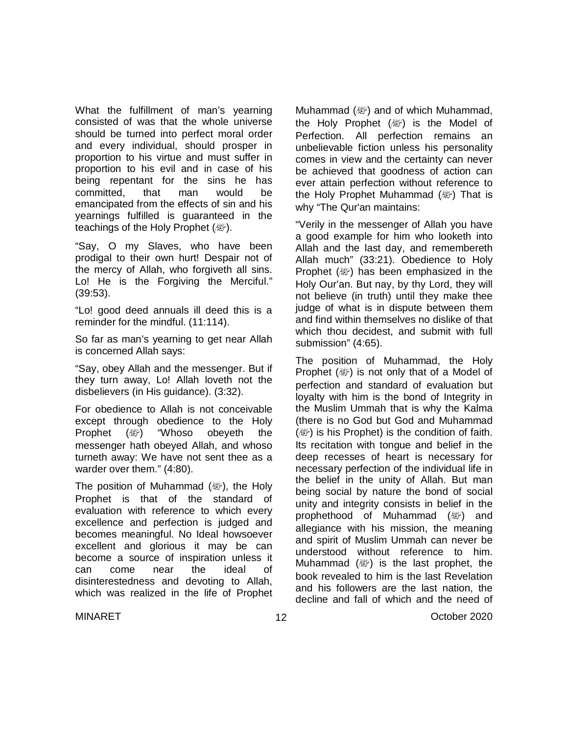What the fulfillment of man's yearning consisted of was that the whole universe should be turned into perfect moral order and every individual, should prosper in proportion to his virtue and must suffer in proportion to his evil and in case of his being repentant for the sins he has committed, that man would be emancipated from the effects of sin and his yearnings fulfilled is guaranteed in the teachings of the Holy Prophet (*剛*).

"Say, O my Slaves, who have been prodigal to their own hurt! Despair not of the mercy of Allah, who forgiveth all sins. Lo! He is the Forgiving the Merciful." (39:53).

"Lo! good deed annuals ill deed this is a reminder for the mindful. (11:114).

So far as man's yearning to get near Allah is concerned Allah says:

"Say, obey Allah and the messenger. But if they turn away, Lo! Allah loveth not the disbelievers (in His guidance). (3:32).

For obedience to Allah is not conceivable except through obedience to the Holy Prophet (變) "Whoso obeyeth the messenger hath obeyed Allah, and whoso turneth away: We have not sent thee as a warder over them." (4:80).

The position of Muhammad ( $\ddot{\hspace{1mm}}$ ), the Holy Prophet is that of the standard of evaluation with reference to which every excellence and perfection is judged and becomes meaningful. No Ideal howsoever excellent and glorious it may be can become a source of inspiration unless it can come near the ideal of disinterestedness and devoting to Allah, which was realized in the life of Prophet Muhammad  $(\mathbb{Z})$  and of which Muhammad, the Holy Prophet  $(\&$  is the Model of Perfection. All perfection remains an unbelievable fiction unless his personality comes in view and the certainty can never be achieved that goodness of action can ever attain perfection without reference to the Holy Prophet Muhammad ( ) That is why "The Qur'an maintains:

"Verily in the messenger of Allah you have a good example for him who looketh into Allah and the last day, and remembereth Allah much" (33:21). Obedience to Holy Prophet  $(\mathbb{Z})$  has been emphasized in the Holy Our'an. But nay, by thy Lord, they will not believe (in truth) until they make thee judge of what is in dispute between them and find within themselves no dislike of that which thou decidest, and submit with full submission" (4:65).

The position of Muhammad, the Holy Prophet ( ) is not only that of a Model of perfection and standard of evaluation but loyalty with him is the bond of Integrity in the Muslim Ummah that is why the Kalma (there is no God but God and Muhammad  $(\mathbb{Z})$  is his Prophet) is the condition of faith. Its recitation with tongue and belief in the deep recesses of heart is necessary for necessary perfection of the individual life in the belief in the unity of Allah. But man being social by nature the bond of social unity and integrity consists in belief in the prophethood of Muhammad (變) and allegiance with his mission, the meaning and spirit of Muslim Ummah can never be understood without reference to him. Muhammad (變) is the last prophet, the book revealed to him is the last Revelation and his followers are the last nation, the decline and fall of which and the need of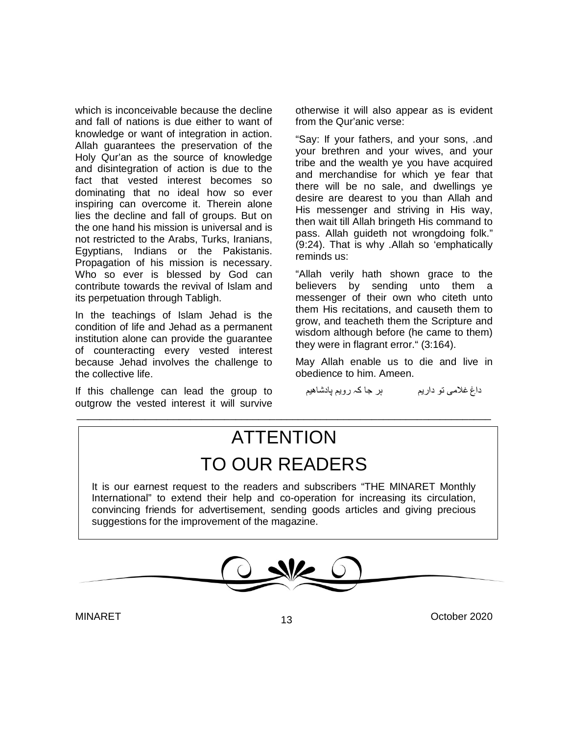which is inconceivable because the decline and fall of nations is due either to want of knowledge or want of integration in action. Allah guarantees the preservation of the Holy Qur'an as the source of knowledge and disintegration of action is due to the fact that vested interest becomes so dominating that no ideal how so ever inspiring can overcome it. Therein alone lies the decline and fall of groups. But on the one hand his mission is universal and is not restricted to the Arabs, Turks, Iranians, Egyptians, Indians or the Pakistanis. Propagation of his mission is necessary. Who so ever is blessed by God can contribute towards the revival of Islam and its perpetuation through Tabligh.

In the teachings of Islam Jehad is the condition of life and Jehad as a permanent institution alone can provide the guarantee of counteracting every vested interest because Jehad involves the challenge to the collective life.

If this challenge can lead the group to outgrow the vested interest it will survive

otherwise it will also appear as is evident from the Qur'anic verse:

"Say: If your fathers, and your sons, .and your brethren and your wives, and your tribe and the wealth ye you have acquired and merchandise for which ye fear that there will be no sale, and dwellings ye desire are dearest to you than Allah and His messenger and striving in His way, then wait till Allah bringeth His command to pass. Allah guideth not wrongdoing folk." (9:24). That is why .Allah so 'emphatically reminds us:

"Allah verily hath shown grace to the believers by sending unto them a messenger of their own who citeth unto them His recitations, and causeth them to grow, and teacheth them the Scripture and wisdom although before (he came to them) they were in flagrant error." (3:164).

May Allah enable us to die and live in obedience to him. Ameen.

داغِ غلامی تو داریم ہر جا کہ رویم پادشاھیم

## **ATTENTION** TO OUR READERS

\_\_\_\_\_\_\_\_\_\_\_\_\_\_\_\_\_\_\_\_\_\_\_\_\_\_\_\_\_\_\_\_\_\_\_\_\_\_\_\_\_\_\_\_\_\_\_\_\_\_\_\_\_\_\_\_\_\_\_\_\_\_\_\_\_\_\_\_\_\_\_\_\_

It is our earnest request to the readers and subscribers "THE MINARET Monthly International" to extend their help and co-operation for increasing its circulation, convincing friends for advertisement, sending goods articles and giving precious suggestions for the improvement of the magazine.

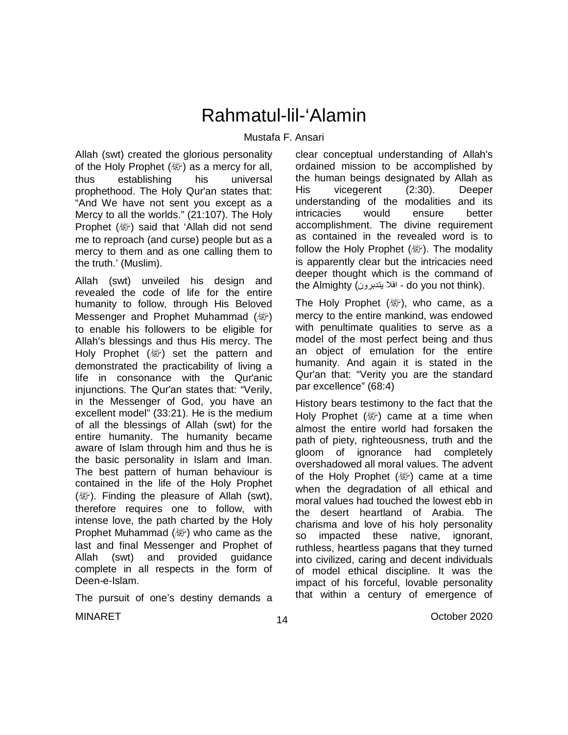## Rahmatul-lil-'Alamin

#### Mustafa F. Ansari

Allah (swt) created the glorious personality of the Holy Prophet  $(\&$ ) as a mercy for all, thus establishing his universal prophethood. The Holy Qur'an states that: "And We have not sent you except as a Mercy to all the worlds." (21:107). The Holy Prophet ( ﷺ) said that 'Allah did not send me to reproach (and curse) people but as a mercy to them and as one calling them to the truth.' (Muslim).

Allah (swt) unveiled his design and revealed the code of life for the entire humanity to follow, through His Beloved Messenger and Prophet Muhammad (*剛*) to enable his followers to be eligible for Allah's blessings and thus His mercy. The Holy Prophet  $(\&$ <sup> $\&$ </sup>) set the pattern and demonstrated the practicability of living a life in consonance with the Qur'anic injunctions. The Qur'an states that: "Verily, in the Messenger of God, you have an excellent model" (33:21). He is the medium of all the blessings of Allah (swt) for the entire humanity. The humanity became aware of Islam through him and thus he is the basic personality in Islam and Iman. The best pattern of human behaviour is contained in the life of the Holy Prophet  $(\&$ ). Finding the pleasure of Allah (swt), therefore requires one to follow, with intense love, the path charted by the Holy Prophet Muhammad  $(\&\circled{})$  who came as the last and final Messenger and Prophet of Allah (swt) and provided guidance complete in all respects in the form of Deen-e-Islam.

The pursuit of one's destiny demands a

clear conceptual understanding of Allah's ordained mission to be accomplished by the human beings designated by Allah as His vicegerent (2:30). Deeper understanding of the modalities and its intricacies would ensure better accomplishment. The divine requirement as contained in the revealed word is to follow the Holy Prophet (صلى الله عليه وسلم(. The modality is apparently clear but the intricacies need deeper thought which is the command of the Almighty (افلا يتدبرون - do you not think).

The Holy Prophet ( $\mathbb{R}^n$ ), who came, as a mercy to the entire mankind, was endowed with penultimate qualities to serve as a model of the most perfect being and thus an object of emulation for the entire humanity. And again it is stated in the Qur'an that: "Verity you are the standard par excellence" (68:4)

History bears testimony to the fact that the Holy Prophet  $(\&$ ) came at a time when almost the entire world had forsaken the path of piety, righteousness, truth and the gloom of ignorance had completely overshadowed all moral values. The advent of the Holy Prophet ( ) came at a time when the degradation of all ethical and moral values had touched the lowest ebb in the desert heartland of Arabia. The charisma and love of his holy personality so impacted these native, ignorant, ruthless, heartless pagans that they turned into civilized, caring and decent individuals of model ethical discipline. It was the impact of his forceful, lovable personality that within a century of emergence of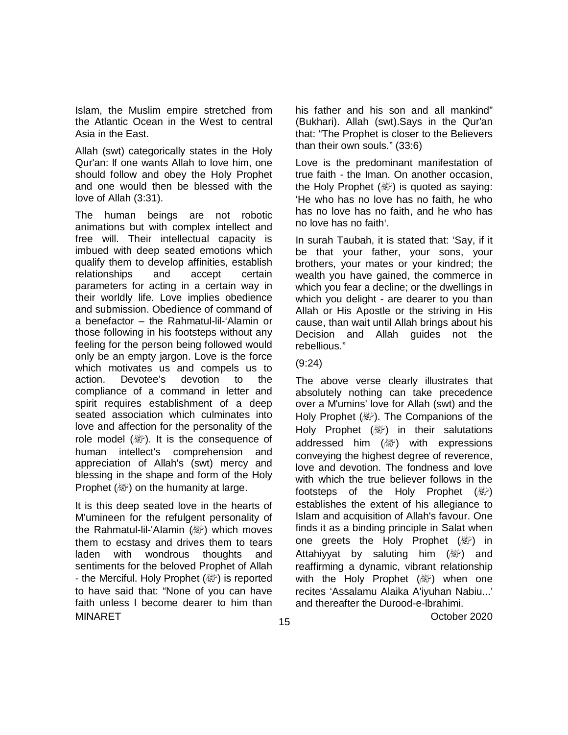Islam, the Muslim empire stretched from the Atlantic Ocean in the West to central Asia in the East.

Allah (swt) categorically states in the Holy Qur'an: lf one wants Allah to love him, one should follow and obey the Holy Prophet and one would then be blessed with the love of Allah (3:31).

The human beings are not robotic animations but with complex intellect and free will. Their intellectual capacity is imbued with deep seated emotions which qualify them to develop affinities, establish relationships and accept certain parameters for acting in a certain way in their worldly life. Love implies obedience and submission. Obedience of command of a benefactor – the Rahmatul-lil-'Alamin or those following in his footsteps without any feeling for the person being followed would only be an empty jargon. Love is the force which motivates us and compels us to action. Devotee's devotion to the compliance of a command in letter and spirit requires establishment of a deep seated association which culminates into love and affection for the personality of the role model (a ). It is the consequence of human intellect's comprehension and appreciation of Allah's (swt) mercy and blessing in the shape and form of the Holy Prophet (ﷺ) on the humanity at large.

MINARET October 2020 It is this deep seated love in the hearts of M'umineen for the refulgent personality of the Rahmatul-lil-'Alamin (變) which moves them to ecstasy and drives them to tears laden with wondrous thoughts and sentiments for the beloved Prophet of Allah - the Merciful. Holy Prophet (&) is reported to have said that: "None of you can have faith unless l become dearer to him than

his father and his son and all mankind" (Bukhari). Allah (swt).Says in the Qur'an that: "The Prophet is closer to the Believers than their own souls." (33:6)

Love is the predominant manifestation of true faith - the Iman. On another occasion, the Holy Prophet ( $\mathbb{W}$ ) is quoted as saying: 'He who has no love has no faith, he who has no love has no faith, and he who has no love has no faith'.

In surah Taubah, it is stated that: 'Say, if it be that your father, your sons, your brothers, your mates or your kindred; the wealth you have gained, the commerce in which you fear a decline; or the dwellings in which you delight - are dearer to you than Allah or His Apostle or the striving in His cause, than wait until Allah brings about his Decision and Allah guides not the rebellious."

#### (9:24)

The above verse clearly illustrates that absolutely nothing can take precedence over a M'umins' love for Allah (swt) and the Holy Prophet (, <sup>236</sup>). The Companions of the Holy Prophet  $(\&$ ) in their salutations addressed him (變) with expressions conveying the highest degree of reverence, love and devotion. The fondness and love with which the true believer follows in the footsteps of the Holy Prophet  $(\mathbb{Z})$ establishes the extent of his allegiance to Islam and acquisition of Allah's favour. One finds it as a binding principle in Salat when one greets the Holy Prophet ( ) in Attahiyyat by saluting him (變) and reaffirming a dynamic, vibrant relationship with the Holy Prophet  $(\mathbb{Z})$  when one recites 'Assalamu Alaika A'iyuhan Nabiu...' and thereafter the Durood-e-lbrahimi.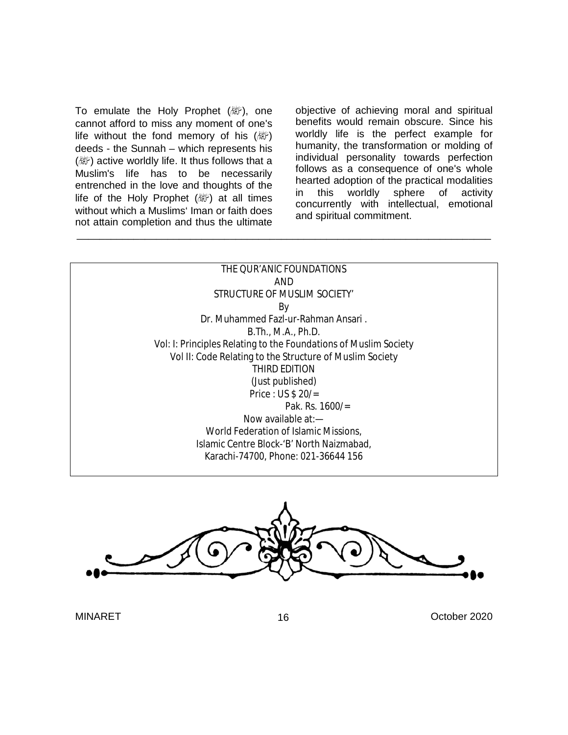To emulate the Holy Prophet  $(\&$ ), one cannot afford to miss any moment of one's life without the fond memory of his  $(\mathbb{Z})$ deeds - the Sunnah – which represents his (變) active worldly life. It thus follows that a Muslim's life has to be necessarily entrenched in the love and thoughts of the life of the Holy Prophet  $(\mathbb{R})$  at all times without which a Muslims' Iman or faith does not attain completion and thus the ultimate

objective of achieving moral and spiritual benefits would remain obscure. Since his worldly life is the perfect example for humanity, the transformation or molding of individual personality towards perfection follows as a consequence of one's whole hearted adoption of the practical modalities in this worldly sphere of activity concurrently with intellectual, emotional and spiritual commitment.

| THE QUR'ANIC FOUNDATIONS                                         |  |
|------------------------------------------------------------------|--|
| AND                                                              |  |
| STRUCTURE OF MUSLIM SOCIETY'                                     |  |
| By                                                               |  |
| Dr. Muhammed Fazl-ur-Rahman Ansari.                              |  |
| B. Th., M.A., Ph.D.                                              |  |
| Vol: I: Principles Relating to the Foundations of Muslim Society |  |
| Vol II: Code Relating to the Structure of Muslim Society         |  |
| THIRD FDITION                                                    |  |
| (Just published)                                                 |  |
| Price: US $$20/=$                                                |  |
| Pak. Rs. $1600/$ =                                               |  |
| Now available $at -$                                             |  |
| World Federation of Islamic Missions,                            |  |
| Islamic Centre Block-'B' North Naizmabad,                        |  |
| Karachi-74700, Phone: 021-36644 156                              |  |
|                                                                  |  |

\_\_\_\_\_\_\_\_\_\_\_\_\_\_\_\_\_\_\_\_\_\_\_\_\_\_\_\_\_\_\_\_\_\_\_\_\_\_\_\_\_\_\_\_\_\_\_\_\_\_\_\_\_\_\_\_\_\_\_\_\_\_\_\_\_\_\_\_\_\_\_\_\_

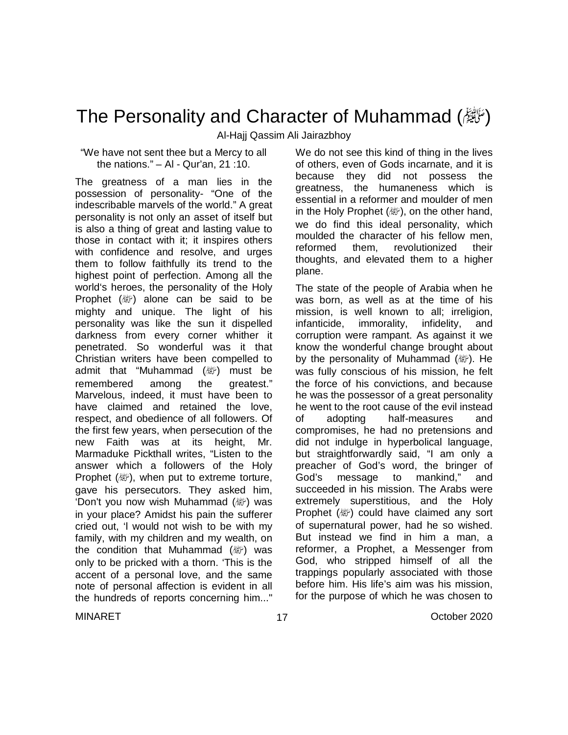### The Personality and Character of Muhammad (翻)

Al-Hajj Qassim Ali Jairazbhoy

"We have not sent thee but a Mercy to all the nations." – Al - Qur'an, 21 :10.

The greatness of a man lies in the possession of personality- "One of the indescribable marvels of the world." A great personality is not only an asset of itself but is also a thing of great and lasting value to those in contact with it; it inspires others with confidence and resolve, and urges them to follow faithfully its trend to the highest point of perfection. Among all the world's heroes, the personality of the Holy Prophet  $(\&$ ) alone can be said to be mighty and unique. The light of his personality was like the sun it dispelled darkness from every corner whither it penetrated. So wonderful was it that Christian writers have been compelled to admit that "Muhammad (*剛*) must be remembered among the greatest." Marvelous, indeed, it must have been to have claimed and retained the love, respect, and obedience of all followers. Of the first few years, when persecution of the new Faith was at its height, Mr. Marmaduke Pickthall writes, "Listen to the answer which a followers of the Holy Prophet ( ), when put to extreme torture, gave his persecutors. They asked him, 'Don't you now wish Muhammad (ﷺ) was in your place? Amidst his pain the sufferer cried out, 'l would not wish to be with my family, with my children and my wealth, on the condition that Muhammad  $(\mathbb{R}^p)$  was only to be pricked with a thorn. 'This is the accent of a personal love, and the same note of personal affection is evident in all the hundreds of reports concerning him..."

We do not see this kind of thing in the lives of others, even of Gods incarnate, and it is because they did not possess the greatness, the humaneness which is essential in a reformer and moulder of men in the Holy Prophet  $(\mathbb{R})$ , on the other hand, we do find this ideal personality, which moulded the character of his fellow men, reformed them, revolutionized their thoughts, and elevated them to a higher plane.

The state of the people of Arabia when he was born, as well as at the time of his mission, is well known to all; irreligion, infanticide, immorality, infidelity, and corruption were rampant. As against it we know the wonderful change brought about by the personality of Muhammad (。). He was fully conscious of his mission, he felt the force of his convictions, and because he was the possessor of a great personality he went to the root cause of the evil instead of adopting half-measures and compromises, he had no pretensions and did not indulge in hyperbolical language, but straightforwardly said, "I am only a preacher of God's word, the bringer of God's message to mankind," and succeeded in his mission. The Arabs were extremely superstitious, and the Holy Prophet (@) could have claimed any sort of supernatural power, had he so wished. But instead we find in him a man, a reformer, a Prophet, a Messenger from God, who stripped himself of all the trappings popularly associated with those before him. His life's aim was his mission, for the purpose of which he was chosen to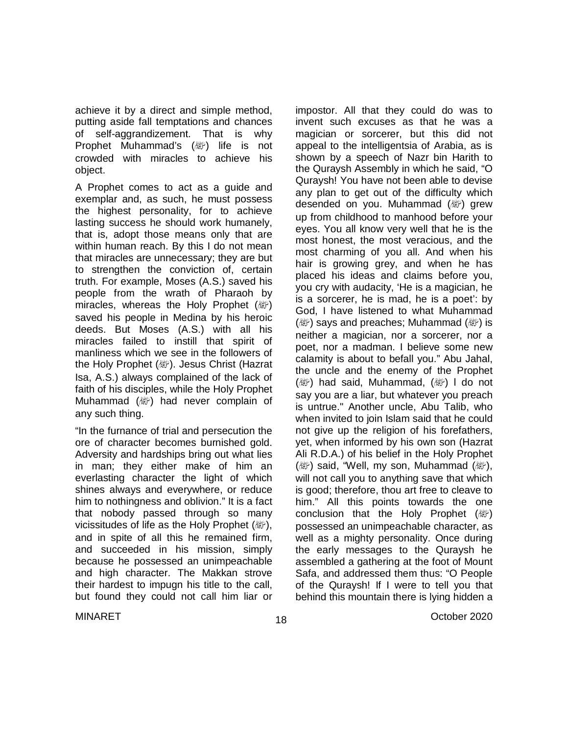achieve it by a direct and simple method, putting aside fall temptations and chances of self-aggrandizement. That is why Prophet Muhammad's ( ) life is not crowded with miracles to achieve his object.

A Prophet comes to act as a guide and exemplar and, as such, he must possess the highest personality, for to achieve lasting success he should work humanely, that is, adopt those means only that are within human reach. By this I do not mean that miracles are unnecessary; they are but to strengthen the conviction of, certain truth. For example, Moses (A.S.) saved his people from the wrath of Pharaoh by miracles, whereas the Holy Prophet (*剛*) saved his people in Medina by his heroic deeds. But Moses (A.S.) with all his miracles failed to instill that spirit of manliness which we see in the followers of the Holy Prophet (。). Jesus Christ (Hazrat Isa, A.S.) always complained of the lack of faith of his disciples, while the Holy Prophet Muhammad ( ) had never complain of any such thing.

"In the furnance of trial and persecution the ore of character becomes burnished gold. Adversity and hardships bring out what lies in man; they either make of him an everlasting character the light of which shines always and everywhere, or reduce him to nothingness and oblivion." It is a fact that nobody passed through so many vicissitudes of life as the Holy Prophet (。), and in spite of all this he remained firm, and succeeded in his mission, simply because he possessed an unimpeachable and high character. The Makkan strove their hardest to impugn his title to the call, but found they could not call him liar or

impostor. All that they could do was to invent such excuses as that he was a magician or sorcerer, but this did not appeal to the intelligentsia of Arabia, as is shown by a speech of Nazr bin Harith to the Quraysh Assembly in which he said, "O Quraysh! You have not been able to devise any plan to get out of the difficulty which desended on you. Muhammad ( ) grew up from childhood to manhood before your eyes. You all know very well that he is the most honest, the most veracious, and the most charming of you all. And when his hair is growing grey, and when he has placed his ideas and claims before you, you cry with audacity, 'He is a magician, he is a sorcerer, he is mad, he is a poet': by God, I have listened to what Muhammad (變) says and preaches; Muhammad (變) is neither a magician, nor a sorcerer, nor a poet, nor a madman. I believe some new calamity is about to befall you." Abu Jahal, the uncle and the enemy of the Prophet  $(\mathbb{Z})$  had said, Muhammad,  $(\mathbb{Z})$  I do not say you are a liar, but whatever you preach is untrue." Another uncle, Abu Talib, who when invited to join Islam said that he could not give up the religion of his forefathers, yet, when informed by his own son (Hazrat Ali R.D.A.) of his belief in the Holy Prophet (變) said, "Well, my son, Muhammad (變), will not call you to anything save that which is good; therefore, thou art free to cleave to him." All this points towards the one conclusion that the Holy Prophet (變) possessed an unimpeachable character, as well as a mighty personality. Once during the early messages to the Quraysh he assembled a gathering at the foot of Mount Safa, and addressed them thus: "O People of the Quraysh! If I were to tell you that behind this mountain there is lying hidden a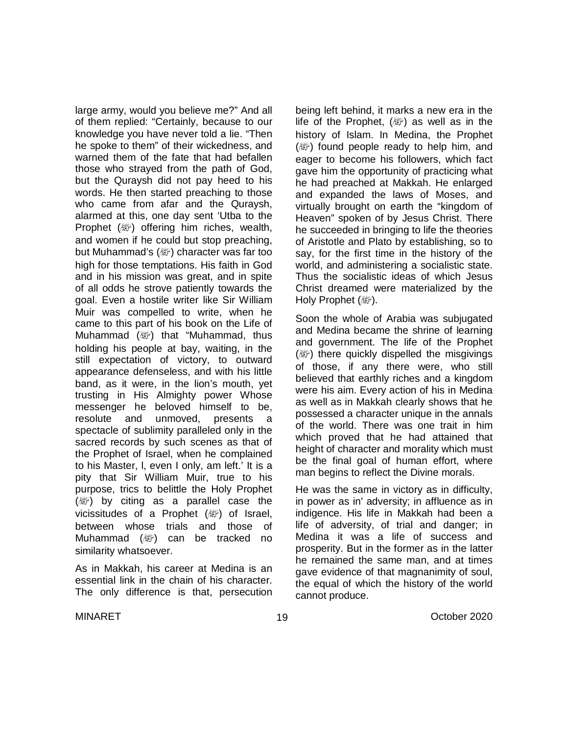large army, would you believe me?" And all of them replied: "Certainly, because to our knowledge you have never told a lie. "Then he spoke to them" of their wickedness, and warned them of the fate that had befallen those who strayed from the path of God, but the Quraysh did not pay heed to his words. He then started preaching to those who came from afar and the Quraysh, alarmed at this, one day sent 'Utba to the Prophet (ﷺ) offering him riches, wealth, and women if he could but stop preaching, but Muhammad's (變) character was far too high for those temptations. His faith in God and in his mission was great, and in spite of all odds he strove patiently towards the goal. Even a hostile writer like Sir William Muir was compelled to write, when he came to this part of his book on the Life of Muhammad (صلى الله عليه وسلم (that "Muhammad, thus holding his people at bay, waiting, in the still expectation of victory, to outward appearance defenseless, and with his little band, as it were, in the lion's mouth, yet trusting in His Almighty power Whose messenger he beloved himself to be, resolute and unmoved, presents a spectacle of sublimity paralleled only in the sacred records by such scenes as that of the Prophet of Israel, when he complained to his Master, l, even I only, am left.' It is a pity that Sir William Muir, true to his purpose, trics to belittle the Holy Prophet  $(\&$ ) by citing as a parallel case the vicissitudes of a Prophet ( ) of Israel, between whose trials and those of Muhammad ( ) can be tracked no similarity whatsoever.

As in Makkah, his career at Medina is an essential link in the chain of his character. The only difference is that, persecution being left behind, it marks a new era in the life of the Prophet,  $(\&$  as well as in the history of Islam. In Medina, the Prophet ( $\mathbb{R}^n$ ) found people ready to help him, and eager to become his followers, which fact gave him the opportunity of practicing what he had preached at Makkah. He enlarged and expanded the laws of Moses, and virtually brought on earth the "kingdom of Heaven" spoken of by Jesus Christ. There he succeeded in bringing to life the theories of Aristotle and Plato by establishing, so to say, for the first time in the history of the world, and administering a socialistic state. Thus the socialistic ideas of which Jesus Christ dreamed were materialized by the Holy Prophet (*剛*).

Soon the whole of Arabia was subjugated and Medina became the shrine of learning and government. The life of the Prophet ( $\mathcal{E}$ ) there quickly dispelled the misgivings of those, if any there were, who still believed that earthly riches and a kingdom were his aim. Every action of his in Medina as well as in Makkah clearly shows that he possessed a character unique in the annals of the world. There was one trait in him which proved that he had attained that height of character and morality which must be the final goal of human effort, where man begins to reflect the Divine morals.

He was the same in victory as in difficulty, in power as in' adversity; in affluence as in indigence. His life in Makkah had been a life of adversity, of trial and danger; in Medina it was a life of success and prosperity. But in the former as in the latter he remained the same man, and at times gave evidence of that magnanimity of soul, the equal of which the history of the world cannot produce.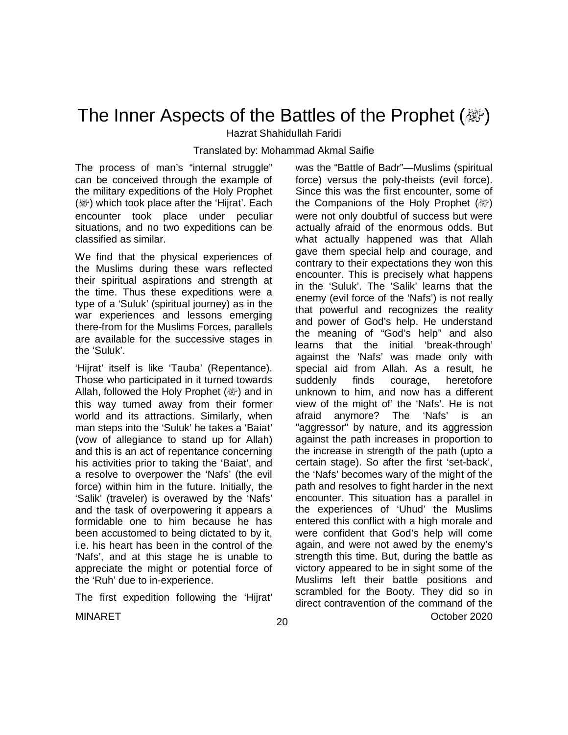## The Inner Aspects of the Battles of the Prophet (*剛*)

Hazrat Shahidullah Faridi

Translated by: Mohammad Akmal Saifie

The process of man's "internal struggle" can be conceived through the example of the military expeditions of the Holy Prophet ( ) which took place after the 'Hijrat'. Each encounter took place under peculiar situations, and no two expeditions can be classified as similar.

We find that the physical experiences of the Muslims during these wars reflected their spiritual aspirations and strength at the time. Thus these expeditions were a type of a 'Suluk' (spiritual journey) as in the war experiences and lessons emerging there-from for the Muslims Forces, parallels are available for the successive stages in the 'Suluk'.

'Hijrat' itself is like 'Tauba' (Repentance). Those who participated in it turned towards Allah, followed the Holy Prophet (applicant) and in this way turned away from their former world and its attractions. Similarly, when man steps into the 'Suluk' he takes a 'Baiat' (vow of allegiance to stand up for Allah) and this is an act of repentance concerning his activities prior to taking the 'Baiat', and a resolve to overpower the 'Nafs' (the evil force) within him in the future. Initially, the 'Salik' (traveler) is overawed by the 'Nafs' and the task of overpowering it appears a formidable one to him because he has been accustomed to being dictated to by it, i.e. his heart has been in the control of the 'Nafs', and at this stage he is unable to appreciate the might or potential force of the 'Ruh' due to in-experience.

The first expedition following the 'Hijrat'

MINARET October 2020 was the "Battle of Badr"—Muslims (spiritual force) versus the poly-theists (evil force). Since this was the first encounter, some of the Companions of the Holy Prophet (a) were not only doubtful of success but were actually afraid of the enormous odds. But what actually happened was that Allah gave them special help and courage, and contrary to their expectations they won this encounter. This is precisely what happens in the 'Suluk'. The 'Salik' learns that the enemy (evil force of the 'Nafs') is not really that powerful and recognizes the reality and power of God's help. He understand the meaning of "God's help" and also learns that the initial 'break-through' against the 'Nafs' was made only with special aid from Allah. As a result, he suddenly finds courage, heretofore unknown to him, and now has a different view of the might of' the 'Nafs'. He is not afraid anymore? The 'Nafs' is an "aggressor" by nature, and its aggression against the path increases in proportion to the increase in strength of the path (upto a certain stage). So after the first 'set-back', the 'Nafs' becomes wary of the might of the path and resolves to fight harder in the next encounter. This situation has a parallel in the experiences of 'Uhud' the Muslims entered this conflict with a high morale and were confident that God's help will come again, and were not awed by the enemy's strength this time. But, during the battle as victory appeared to be in sight some of the Muslims left their battle positions and scrambled for the Booty. They did so in direct contravention of the command of the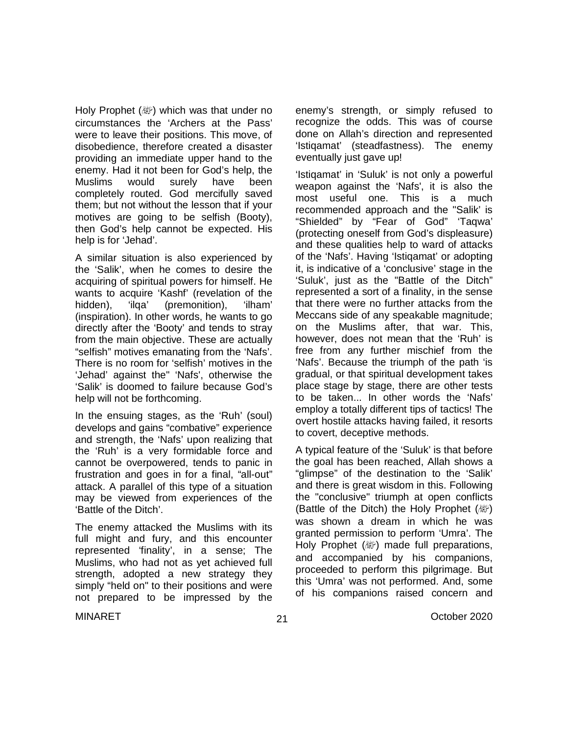Holy Prophet (@) which was that under no circumstances the 'Archers at the Pass' were to leave their positions. This move, of disobedience, therefore created a disaster providing an immediate upper hand to the enemy. Had it not been for God's help, the Muslims would surely have been completely routed. God mercifully saved them; but not without the lesson that if your motives are going to be selfish (Booty), then God's help cannot be expected. His help is for 'Jehad'.

A similar situation is also experienced by the 'Salik', when he comes to desire the acquiring of spiritual powers for himself. He wants to acquire 'Kashf' (revelation of the hidden), 'ilqa' (premonition), 'ilham' (inspiration). In other words, he wants to go directly after the 'Booty' and tends to stray from the main objective. These are actually "selfish" motives emanating from the 'Nafs'. There is no room for 'selfish' motives in the 'Jehad' against the" 'Nafs', otherwise the 'Salik' is doomed to failure because God's help will not be forthcoming.

In the ensuing stages, as the 'Ruh' (soul) develops and gains "combative" experience and strength, the 'Nafs' upon realizing that the 'Ruh' is a very formidable force and cannot be overpowered, tends to panic in frustration and goes in for a final, "all-out" attack. A parallel of this type of a situation may be viewed from experiences of the 'Battle of the Ditch'.

The enemy attacked the Muslims with its full might and fury, and this encounter represented 'finality', in a sense; The Muslims, who had not as yet achieved full strength, adopted a new strategy they simply "held on" to their positions and were not prepared to be impressed by the enemy's strength, or simply refused to recognize the odds. This was of course done on Allah's direction and represented 'Istiqamat' (steadfastness). The enemy eventually just gave up!

'Istiqamat' in 'Suluk' is not only a powerful weapon against the 'Nafs', it is also the most useful one. This is a much recommended approach and the "Salik' is "Shielded" by "Fear of God" 'Taqwa' (protecting oneself from God's displeasure) and these qualities help to ward of attacks of the 'Nafs'. Having 'Istiqamat' or adopting it, is indicative of a 'conclusive' stage in the 'Suluk', just as the "Battle of the Ditch" represented a sort of a finality, in the sense that there were no further attacks from the Meccans side of any speakable magnitude; on the Muslims after, that war. This, however, does not mean that the 'Ruh' is free from any further mischief from the 'Nafs'. Because the triumph of the path 'is gradual, or that spiritual development takes place stage by stage, there are other tests to be taken... In other words the 'Nafs' employ a totally different tips of tactics! The overt hostile attacks having failed, it resorts to covert, deceptive methods.

A typical feature of the 'Suluk' is that before the goal has been reached, Allah shows a "glimpse" of the destination to the 'Salik' and there is great wisdom in this. Following the "conclusive" triumph at open conflicts (Battle of the Ditch) the Holy Prophet  $(\mathbb{Z})$ was shown a dream in which he was granted permission to perform 'Umra'. The Holy Prophet (  $\mathbb{E}$ ) made full preparations, and accompanied by his companions, proceeded to perform this pilgrimage. But this 'Umra' was not performed. And, some of his companions raised concern and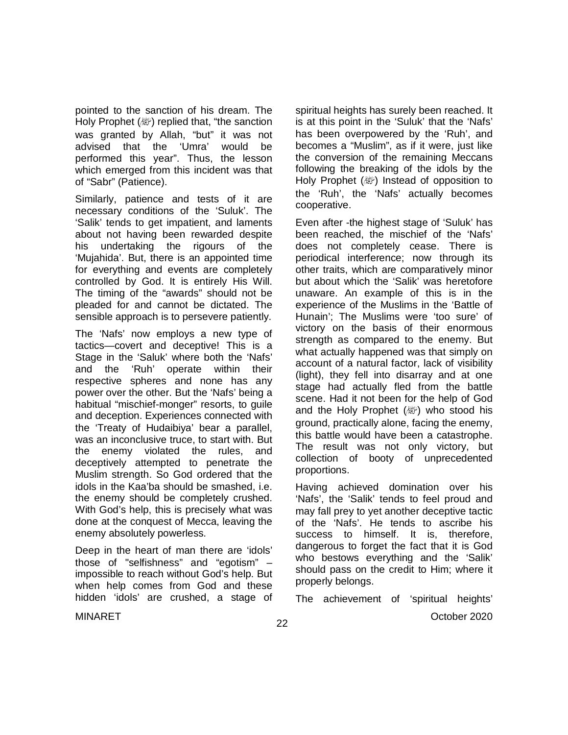pointed to the sanction of his dream. The Holy Prophet (ﷺ) replied that, "the sanction was granted by Allah, "but" it was not advised that the 'Umra' would be performed this year". Thus, the lesson which emerged from this incident was that of "Sabr" (Patience).

Similarly, patience and tests of it are necessary conditions of the 'Suluk'. The 'Salik' tends to get impatient, and laments about not having been rewarded despite his undertaking the rigours of the 'Mujahida'. But, there is an appointed time for everything and events are completely controlled by God. It is entirely His Will. The timing of the "awards" should not be pleaded for and cannot be dictated. The sensible approach is to persevere patiently.

The 'Nafs' now employs a new type of tactics—covert and deceptive! This is a Stage in the 'Saluk' where both the 'Nafs' and the 'Ruh' operate within their respective spheres and none has any power over the other. But the 'Nafs' being a habitual "mischief-monger" resorts, to guile and deception. Experiences connected with the 'Treaty of Hudaibiya' bear a parallel, was an inconclusive truce, to start with. But the enemy violated the rules, and deceptively attempted to penetrate the Muslim strength. So God ordered that the idols in the Kaa'ba should be smashed, i.e. the enemy should be completely crushed. With God's help, this is precisely what was done at the conquest of Mecca, leaving the enemy absolutely powerless.

Deep in the heart of man there are 'idols' those of "selfishness" and "egotism" – impossible to reach without God's help. But when help comes from God and these hidden 'idols' are crushed, a stage of spiritual heights has surely been reached. It is at this point in the 'Suluk' that the 'Nafs' has been overpowered by the 'Ruh', and becomes a "Muslim", as if it were, just like the conversion of the remaining Meccans following the breaking of the idols by the Holy Prophet (ﷺ) Instead of opposition to the 'Ruh', the 'Nafs' actually becomes cooperative.

Even after -the highest stage of 'Suluk' has been reached, the mischief of the 'Nafs' does not completely cease. There is periodical interference; now through its other traits, which are comparatively minor but about which the 'Salik' was heretofore unaware. An example of this is in the experience of the Muslims in the 'Battle of Hunain'; The Muslims were 'too sure' of victory on the basis of their enormous strength as compared to the enemy. But what actually happened was that simply on account of a natural factor, lack of visibility (light), they fell into disarray and at one stage had actually fled from the battle scene. Had it not been for the help of God and the Holy Prophet  $(\&$  who stood his ground, practically alone, facing the enemy, this battle would have been a catastrophe. The result was not only victory, but collection of booty of unprecedented proportions.

Having achieved domination over his 'Nafs', the 'Salik' tends to feel proud and may fall prey to yet another deceptive tactic of the 'Nafs'. He tends to ascribe his success to himself. It is, therefore, dangerous to forget the fact that it is God who bestows everything and the 'Salik' should pass on the credit to Him; where it properly belongs.

The achievement of 'spiritual heights'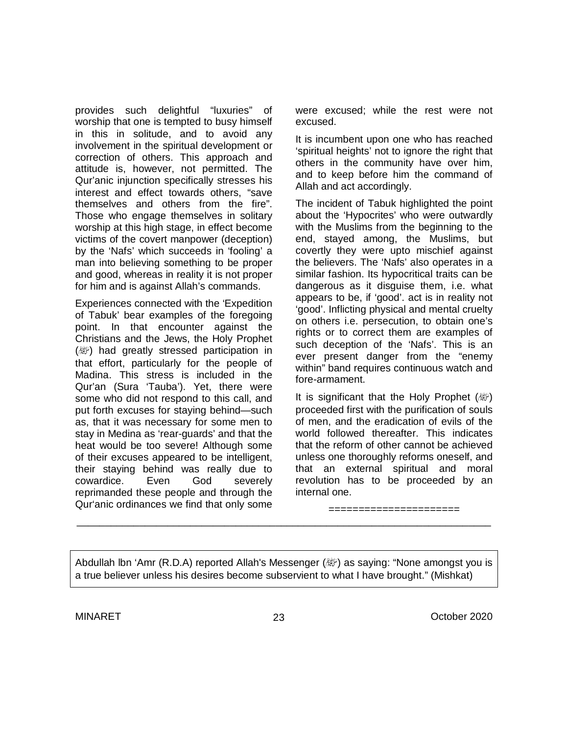provides such delightful "luxuries" of worship that one is tempted to busy himself in this in solitude, and to avoid any involvement in the spiritual development or correction of others. This approach and attitude is, however, not permitted. The Qur'anic injunction specifically stresses his interest and effect towards others, "save themselves and others from the fire". Those who engage themselves in solitary worship at this high stage, in effect become victims of the covert manpower (deception) by the 'Nafs' which succeeds in 'fooling' a man into believing something to be proper and good, whereas in reality it is not proper for him and is against Allah's commands.

Experiences connected with the 'Expedition of Tabuk' bear examples of the foregoing point. In that encounter against the Christians and the Jews, the Holy Prophet  $(\mathbb{Z})$  had greatly stressed participation in that effort, particularly for the people of Madina. This stress is included in the Qur'an (Sura 'Tauba'). Yet, there were some who did not respond to this call, and put forth excuses for staying behind—such as, that it was necessary for some men to stay in Medina as 'rear-guards' and that the heat would be too severe! Although some of their excuses appeared to be intelligent, their staying behind was really due to cowardice. Even God severely reprimanded these people and through the Qur'anic ordinances we find that only some were excused; while the rest were not excused.

It is incumbent upon one who has reached 'spiritual heights' not to ignore the right that others in the community have over him, and to keep before him the command of Allah and act accordingly.

The incident of Tabuk highlighted the point about the 'Hypocrites' who were outwardly with the Muslims from the beginning to the end, stayed among, the Muslims, but covertly they were upto mischief against the believers. The 'Nafs' also operates in a similar fashion. Its hypocritical traits can be dangerous as it disguise them, i.e. what appears to be, if 'good'. act is in reality not 'good'. Inflicting physical and mental cruelty on others i.e. persecution, to obtain one's rights or to correct them are examples of such deception of the 'Nafs'. This is an ever present danger from the "enemy within" band requires continuous watch and fore-armament.

It is significant that the Holy Prophet  $(\mathbb{Z})$ proceeded first with the purification of souls of men, and the eradication of evils of the world followed thereafter. This indicates that the reform of other cannot be achieved unless one thoroughly reforms oneself, and that an external spiritual and moral revolution has to be proceeded by an internal one.

====================

Abdullah lbn 'Amr (R.D.A) reported Allah's Messenger ( ﷺ) as saying: "None amongst you is a true believer unless his desires become subservient to what I have brought." (Mishkat)

\_\_\_\_\_\_\_\_\_\_\_\_\_\_\_\_\_\_\_\_\_\_\_\_\_\_\_\_\_\_\_\_\_\_\_\_\_\_\_\_\_\_\_\_\_\_\_\_\_\_\_\_\_\_\_\_\_\_\_\_\_\_\_\_\_\_\_\_\_\_\_\_\_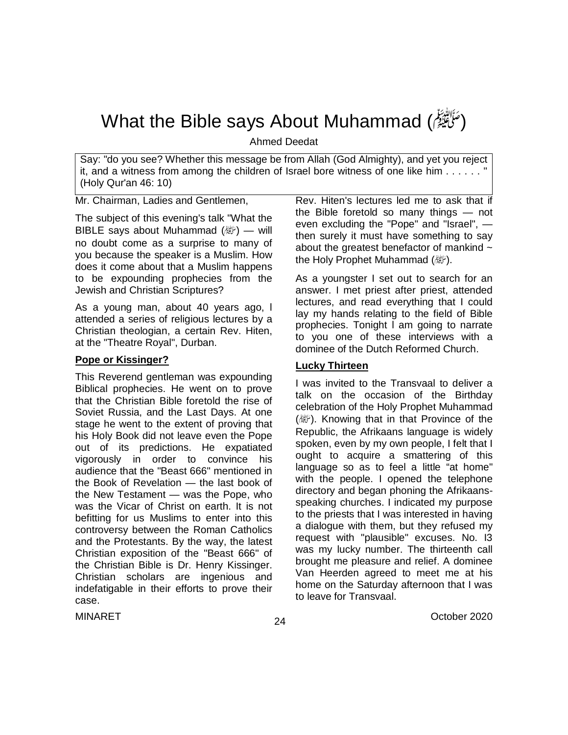## What the Bible says About Muhammad (مَرَّا الله عليه الله عليه الله عليه وسلم(

Ahmed Deedat

Say: "do you see? Whether this message be from Allah (God Almighty), and yet you reject it, and a witness from among the children of Israel bore witness of one like him . . . . . . " (Holy Qur'an 46: 10)

Mr. Chairman, Ladies and Gentlemen,

The subject of this evening's talk "What the BIBLE says about Muhammad  $(\ddot{x})$  — will no doubt come as a surprise to many of you because the speaker is a Muslim. How does it come about that a Muslim happens to be expounding prophecies from the Jewish and Christian Scriptures?

As a young man, about 40 years ago, l attended a series of religious lectures by a Christian theologian, a certain Rev. Hiten, at the "Theatre Royal", Durban.

#### **Pope or Kissinger?**

This Reverend gentleman was expounding Biblical prophecies. He went on to prove that the Christian Bible foretold the rise of Soviet Russia, and the Last Days. At one stage he went to the extent of proving that his Holy Book did not leave even the Pope out of its predictions. He expatiated vigorously in order to convince his audience that the "Beast 666" mentioned in the Book of Revelation — the last book of the New Testament — was the Pope, who was the Vicar of Christ on earth. It is not befitting for us Muslims to enter into this controversy between the Roman Catholics and the Protestants. By the way, the latest Christian exposition of the "Beast 666" of the Christian Bible is Dr. Henry Kissinger. Christian scholars are ingenious and indefatigable in their efforts to prove their case.

Rev. Hiten's lectures led me to ask that if the Bible foretold so many things — not even excluding the "Pope" and "Israel", then surely it must have something to say about the greatest benefactor of mankind  $\sim$ the Holy Prophet Muhammad  $(\&$ .

As a youngster I set out to search for an answer. I met priest after priest, attended lectures, and read everything that I could lay my hands relating to the field of Bible prophecies. Tonight l am going to narrate to you one of these interviews with a dominee of the Dutch Reformed Church.

#### **Lucky Thirteen**

I was invited to the Transvaal to deliver a talk on the occasion of the Birthday celebration of the Holy Prophet Muhammad (變). Knowing that in that Province of the Republic, the Afrikaans language is widely spoken, even by my own people, I felt that I ought to acquire a smattering of this language so as to feel a little "at home" with the people. I opened the telephone directory and began phoning the Afrikaansspeaking churches. I indicated my purpose to the priests that I was interested in having a dialogue with them, but they refused my request with "plausible" excuses. No. I3 was my lucky number. The thirteenth call brought me pleasure and relief. A dominee Van Heerden agreed to meet me at his home on the Saturday afternoon that I was to leave for Transvaal.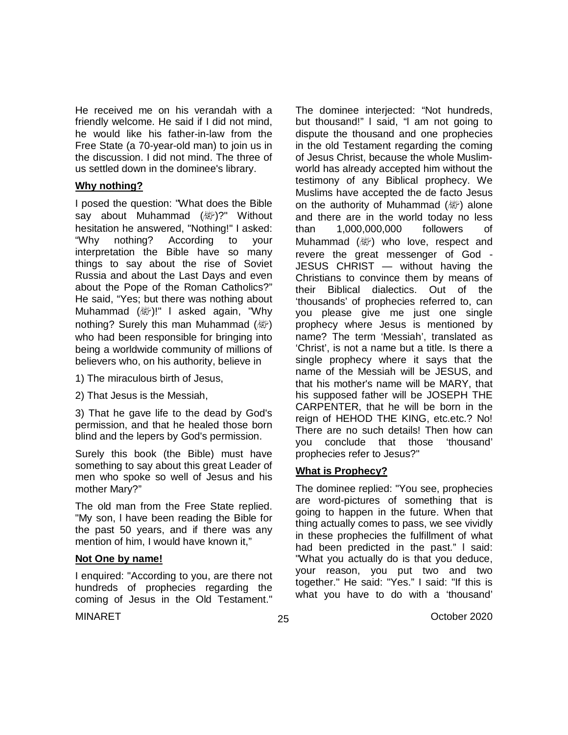He received me on his verandah with a friendly welcome. He said if I did not mind, he would like his father-in-law from the Free State (a 70-year-old man) to join us in the discussion. I did not mind. The three of us settled down in the dominee's library.

#### **Why nothing?**

I posed the question: "What does the Bible say about Muhammad ( / without hesitation he answered, "Nothing!" I asked: "Why nothing? According to your interpretation the Bible have so many things to say about the rise of Soviet Russia and about the Last Days and even about the Pope of the Roman Catholics?" He said, "Yes; but there was nothing about Muhammad ( ﷺ)!" I asked again, "Why nothing? Surely this man Muhammad (*剛*) who had been responsible for bringing into being a worldwide community of millions of believers who, on his authority, believe in

- 1) The miraculous birth of Jesus,
- 2) That Jesus is the Messiah,

3) That he gave life to the dead by God's permission, and that he healed those born blind and the lepers by God's permission.

Surely this book (the Bible) must have something to say about this great Leader of men who spoke so well of Jesus and his mother Mary?"

The old man from the Free State replied. "My son, l have been reading the Bible for the past 50 years, and if there was any mention of him, I would have known it,"

#### **Not One by name!**

I enquired: "According to you, are there not hundreds of prophecies regarding the coming of Jesus in the Old Testament."

The dominee interjected: "Not hundreds, but thousand!" l said, "l am not going to dispute the thousand and one prophecies in the old Testament regarding the coming of Jesus Christ, because the whole Muslimworld has already accepted him without the testimony of any Biblical prophecy. We Muslims have accepted the de facto Jesus on the authority of Muhammad (صلى الله عليه وسلم (alone and there are in the world today no less than 1,000,000,000 followers of Muhammad (變) who love, respect and revere the great messenger of God - JESUS CHRIST — without having the Christians to convince them by means of their Biblical dialectics. Out of the 'thousands' of prophecies referred to, can you please give me just one single prophecy where Jesus is mentioned by name? The term 'Messiah', translated as 'Christ', is not a name but a title. Is there a single prophecy where it says that the name of the Messiah will be JESUS, and that his mother's name will be MARY, that his supposed father will be JOSEPH THE CARPENTER, that he will be born in the reign of HEHOD THE KING, etc.etc.? No! There are no such details! Then how can you conclude that those 'thousand' prophecies refer to Jesus?"

#### **What is Prophecy?**

The dominee replied: "You see, prophecies are word-pictures of something that is going to happen in the future. When that thing actually comes to pass, we see vividly in these prophecies the fulfillment of what had been predicted in the past." l said: "What you actually do is that you deduce, your reason, you put two and two together." He said: "Yes." I said: "If this is what you have to do with a 'thousand'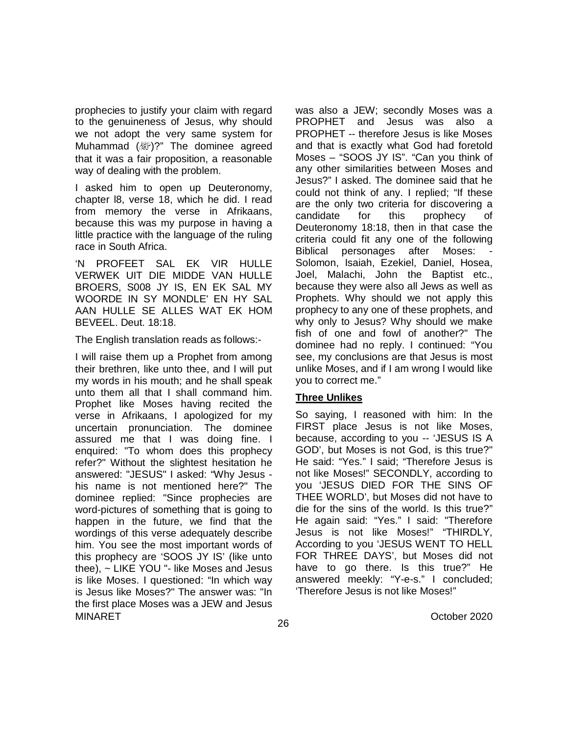prophecies to justify your claim with regard to the genuineness of Jesus, why should we not adopt the very same system for Muhammad ( )?" The dominee agreed that it was a fair proposition, a reasonable way of dealing with the problem.

I asked him to open up Deuteronomy, chapter l8, verse 18, which he did. I read from memory the verse in Afrikaans, because this was my purpose in having a little practice with the language of the ruling race in South Africa.

'N PROFEET SAL EK VIR HULLE VERWEK UIT DIE MIDDE VAN HULLE BROERS, S008 JY IS, EN EK SAL MY WOORDE IN SY MONDLE' EN HY SAL AAN HULLE SE ALLES WAT EK HOM BEVEEL. Deut. 18:18.

The English translation reads as follows:-

MINARET October 2020 I will raise them up a Prophet from among their brethren, like unto thee, and l will put my words in his mouth; and he shall speak unto them all that I shall command him. Prophet like Moses having recited the verse in Afrikaans, I apologized for my uncertain pronunciation. The dominee assured me that I was doing fine. I enquired: "To whom does this prophecy refer?" Without the slightest hesitation he answered: "JESUS" I asked: "Why Jesus his name is not mentioned here?" The dominee replied: "Since prophecies are word-pictures of something that is going to happen in the future, we find that the wordings of this verse adequately describe him. You see the most important words of this prophecy are 'SOOS JY IS' (like unto thee), ~ LIKE YOU "- like Moses and Jesus is like Moses. I questioned: "In which way is Jesus like Moses?" The answer was: "In the first place Moses was a JEW and Jesus

was also a JEW; secondly Moses was a PROPHET and Jesus was also a PROPHET -- therefore Jesus is like Moses and that is exactly what God had foretold Moses – "SOOS JY IS". "Can you think of any other similarities between Moses and Jesus?" I asked. The dominee said that he could not think of any. I replied; "If these are the only two criteria for discovering a candidate for this prophecy of Deuteronomy 18:18, then in that case the criteria could fit any one of the following Biblical personages after Moses: Solomon, Isaiah, Ezekiel, Daniel, Hosea, Joel, Malachi, John the Baptist etc., because they were also all Jews as well as Prophets. Why should we not apply this prophecy to any one of these prophets, and why only to Jesus? Why should we make fish of one and fowl of another?" The dominee had no reply. I continued: "You see, my conclusions are that Jesus is most unlike Moses, and if I am wrong l would like you to correct me."

#### **Three Unlikes**

So saying, I reasoned with him: In the FIRST place Jesus is not like Moses, because, according to you -- 'JESUS IS A GOD', but Moses is not God, is this true?" He said: "Yes." I said; "Therefore Jesus is not like Moses!" SECONDLY, according to you 'JESUS DIED FOR THE SINS OF THEE WORLD', but Moses did not have to die for the sins of the world. Is this true?" He again said: "Yes." I said: "Therefore Jesus is not like Moses!" "THIRDLY, According to you 'JESUS WENT TO HELL FOR THREE DAYS', but Moses did not have to go there. Is this true?" He answered meekly: "Y-e-s." I concluded; 'Therefore Jesus is not like Moses!"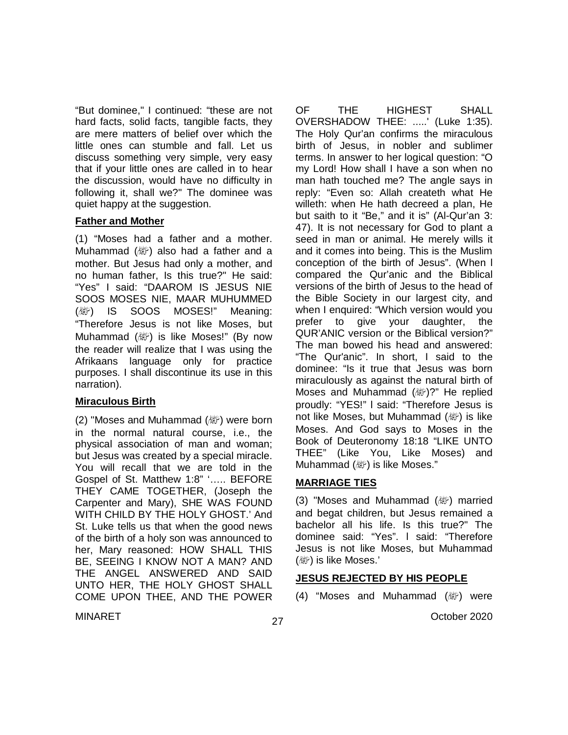"But dominee," I continued: "these are not hard facts, solid facts, tangible facts, they are mere matters of belief over which the little ones can stumble and fall. Let us discuss something very simple, very easy that if your little ones are called in to hear the discussion, would have no difficulty in following it, shall we?" The dominee was quiet happy at the suggestion.

#### **Father and Mother**

(1) "Moses had a father and a mother. Muhammad ( ﷺ) also had a father and a mother. But Jesus had only a mother, and no human father, Is this true?" He said: "Yes" I said: "DAAROM IS JESUS NIE SOOS MOSES NIE, MAAR MUHUMMED ( ) IS SOOS MOSES!" Meaning: "Therefore Jesus is not like Moses, but Muhammad (變) is like Moses!" (By now the reader will realize that I was using the Afrikaans language only for practice purposes. I shall discontinue its use in this narration).

#### **Miraculous Birth**

(2) "Moses and Muhammad  $(\mathbb{W})$  were born in the normal natural course, i.e., the physical association of man and woman; but Jesus was created by a special miracle. You will recall that we are told in the Gospel of St. Matthew 1:8" '….. BEFORE THEY CAME TOGETHER, (Joseph the Carpenter and Mary), SHE WAS FOUND WITH CHILD BY THE HOLY GHOST.' And St. Luke tells us that when the good news of the birth of a holy son was announced to her, Mary reasoned: HOW SHALL THIS BE, SEEING I KNOW NOT A MAN? AND THE ANGEL ANSWERED AND SAID UNTO HER, THE HOLY GHOST SHALL COME UPON THEE, AND THE POWER OF THE HIGHEST SHALL OVERSHADOW THEE: .....' (Luke 1:35). The Holy Qur'an confirms the miraculous birth of Jesus, in nobler and sublimer terms. In answer to her logical question: "O my Lord! How shall I have a son when no man hath touched me? The angle says in reply: "Even so: Allah createth what He willeth: when He hath decreed a plan, He but saith to it "Be," and it is" (Al-Qur'an 3: 47). It is not necessary for God to plant a seed in man or animal. He merely wills it and it comes into being. This is the Muslim conception of the birth of Jesus". (When l compared the Qur'anic and the Biblical versions of the birth of Jesus to the head of the Bible Society in our largest city, and when I enquired: "Which version would you prefer to give your daughter, the QUR'ANIC version or the Biblical version?" The man bowed his head and answered: "The Qur'anic". In short, I said to the dominee: "Is it true that Jesus was born miraculously as against the natural birth of Moses and Muhammad  $(\&\)$ ?" He replied proudly: "YES!" l said: "Therefore Jesus is not like Moses, but Muhammad (纖) is like Moses. And God says to Moses in the Book of Deuteronomy 18:18 "LIKE UNTO THEE" (Like You, Like Moses) and Muhammad (, is like Moses."

#### **MARRIAGE TIES**

(3) "Moses and Muhammad  $(\mathbb{W})$  married and begat children, but Jesus remained a bachelor all his life. Is this true?" The dominee said: "Yes". l said: "Therefore Jesus is not like Moses, but Muhammad (變) is like Moses.'

#### **JESUS REJECTED BY HIS PEOPLE**

(4) "Moses and Muhammad (變) were

27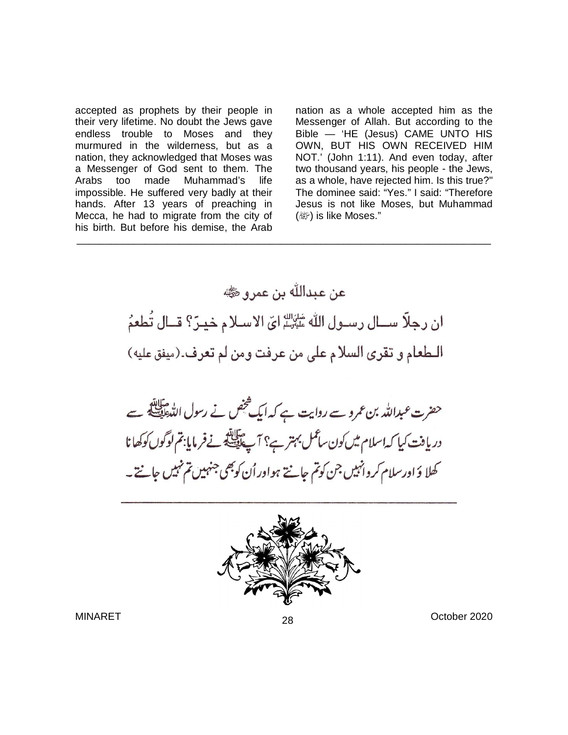accepted as prophets by their people in their very lifetime. No doubt the Jews gave endless trouble to Moses and they murmured in the wilderness, but as a nation, they acknowledged that Moses was a Messenger of God sent to them. The Arabs too made Muhammad's life impossible. He suffered very badly at their hands. After 13 years of preaching in Mecca, he had to migrate from the city of his birth. But before his demise, the Arab nation as a whole accepted him as the Messenger of Allah. But according to the Bible — 'HE (Jesus) CAME UNTO HIS OWN, BUT HIS OWN RECEIVED HIM NOT.' (John 1:11). And even today, after two thousand years, his people - the Jews, as a whole, have rejected him. Is this true?" The dominee said: "Yes." I said: "Therefore Jesus is not like Moses, but Muhammad (繳) is like Moses."



\_\_\_\_\_\_\_\_\_\_\_\_\_\_\_\_\_\_\_\_\_\_\_\_\_\_\_\_\_\_\_\_\_\_\_\_\_\_\_\_\_\_\_\_\_\_\_\_\_\_\_\_\_\_\_\_\_\_\_\_\_\_\_\_\_\_\_\_\_\_\_\_\_

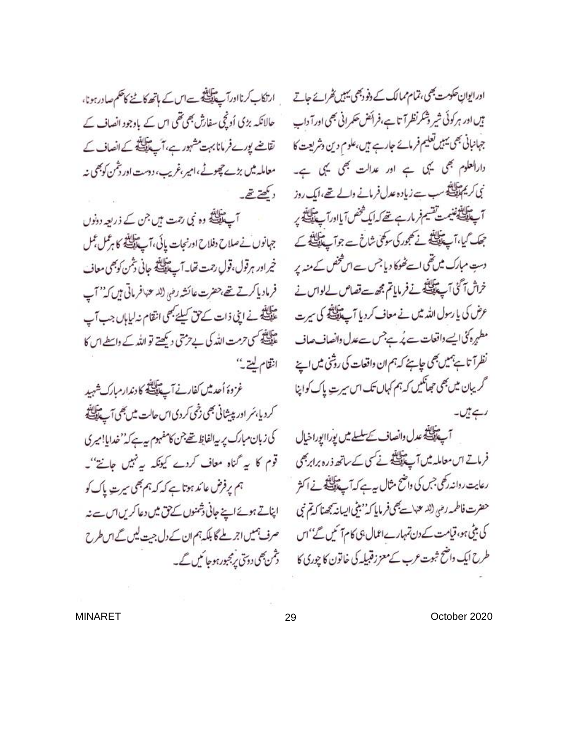ارتکاب کرنااورآپ پیکیلی ہےاس کے باتھ کاننے کاحکم صادر ہونا، حالانکہ بڑی اُدنچی سفارش بھی تھی اس کے باوجود انصاف کے تقاضے یورے فرمانا بہت مشہور ہے، آپ پیچلینے کے انصاف کے معاملہ میں بڑے چھوٹے،امیر،غریب، دوست اور بٹمن کوبھی نہ دیکھتے۔

آپ پیچلنگے وہ نبی رحمت ہیں جن کے ذریعہ دونوں جہانوں نےصلاح دفلاح اورنجات پائی،آپ پیچینے کا ہڑکل عمل خپراور ہرقول،قولِ رحت تھا۔آپ پیچلینچھ جانی بٹمن کوبھی معاف فرماديا كرتے تھے،حضرت عائشہ رضی (للہ عنہافر ماتی ہیں کہ'' آپ ۔<br>علیقے نے اپنی ذات کے حق کیلئے بھی انقام نہ لباہاں جب آپ ۔<br>علی ایکس حرمت اللہ کی بے حرمتی دیکھتے تو اللہ کے واسطے اس کا انقام ليتے يہ

غزوهَ أحدثيں كفارنے آپ پیچیلیفی کا دندارمبارك شہید كرديا بمر اور پيشانى بھى دخى كردى اس حالت ميں بھى آپ تلاتين كى زبان مبارك پر پيالفاظ تھے جن كامفہوم پہ ہے كہ'' خدايا!ميري قوم کا ہے گناہ معاف کردے کیونکہ ہہ نہیں جانتے''۔ ہم پر فرض عائد ہوتا ہے کہ کہ ہم بھی سیرت پاک کو اپناتے ہوئے اپنے جانی ڈمنوں کے پی میں دعا کریں اس ت صرف ہمیں اجر ملے گا بلکہ ہم ان کے دل جیت لیں گے اس طرح دشمن بھی دوتی پرمجبورہوجا ئیں گے۔

اور ایوانِ حکومت بھی، تمام ممالک کے دنو دبھی پہیں تھرائے جاتے بیں اور ہر کوئی شیر وشکرنظرآتا ہے،فرائض حکمرانی بھی اورآ داپ جبانبانی بھی پہیں تعلیم فرمائے جارہے ہیں،علوم دین دشریعت کا دارالعلوم بھی یہی ہے اور عدالت بھی یہی ہے۔ نی کریم اینے سب ہے زیادہ عدل فرمانے والے تھے،ایک روز آپ تلافینینی تقسیم فرمار ہے تھے کہ ایک شخص آیااورآپ تلافینے پر جعک کیا،آپ پی ایک ے مجوری سوکھی شاخ ہے جو آپ پی ایک کے دستِ مبارک میں تھی اسے ٹھوکا دیا جس سے اس فحض کے منہ پر خراش آ كنى آپ عليه الله فى فى فى الحاست تصاص لے لواس نے عرض کی یا رسول اللہ میں نے معاف کردیا آپ کی لیٹے کی سیرت مطہرہ کئی ایسے داقعات ہے پُہ ہےجس سےعدل دانصاف صاف نظراً تاہئے ہمیں بھی جاہئے کہ ہم ان داقعات کی روشی میں اپنے گریبان میں بھی حجعانکیں کہ ہم کہاں تک اس سیرت پاک کواپنا رہے ہیں۔

آپ تلافید عدل وانصاف تحسلسلے میں یوراایوراخیال فرماتے اس معاملہ میں آپ پالینے نے کی کے ساتھ ذرہ برابر بھی رعایت رداندر کلی جس کی داختخ مثال ہے ہے کہ آپ پیچلنگانے نے اکثر حضرت فاطمه رضي (لله عنهاسة بصي فرمايا كه'' بيثي ايسانة بجحدنا كه تم نبي کی بٹی ہو، قیامت کے دن تہبارےاعمال ہی کام آئیں گے'' اس طرح ایک داضح ثبوت عرب کے معزز قبیلہ کی خاتون کا چوری کا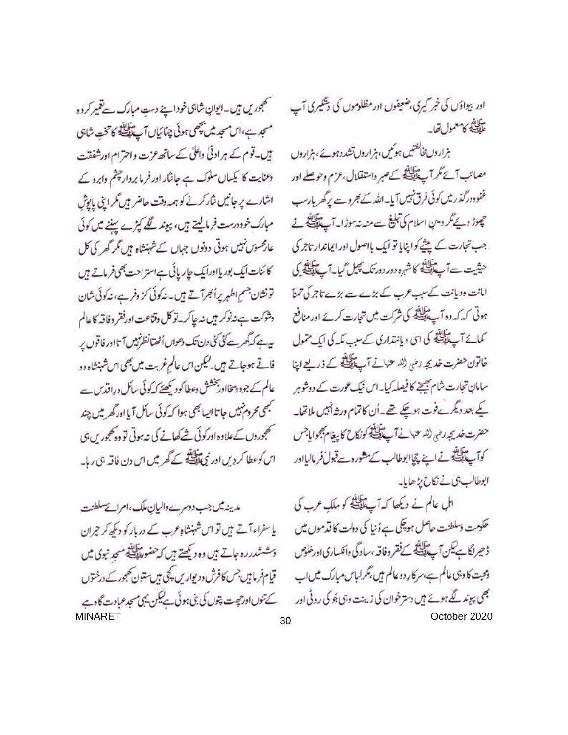اور بیوادَں کی خبر گیری، ضعیفوں اور مظلوموں کی دیگیری آب سابقہ<br>علی کامعمول تھا۔

بزاروں مخالفتیں ہوئیں، ہزاروں تشددہوئے،ہزاروں مصائب آئے مگر آپ پیچیلنڈ کے صبر واستقلال، عزم وحوصلے اور غفوودرگذر میں کوئی فرق نہیں آیا۔اللہ کے کجروے پر گھریارسب چوڑ دیے گر دین اسلام کی تبلیغ سے مند نہ موڑا۔ آپ پی کے نے جب تجارت کے پیشے کواپنایا تو ایک بااصول اور ایماندار تاجر کی حیثیت ہےآپ پالینڈ کاشرہ دور دورتک پھیل گیا۔آپ پالینڈ کی امانت دویانت کے سب عرب کے بڑے سے بڑے تاجر کی تمنآ ہوتی کہ کہ وہ آپ پالگے کی شرکت میں تجارت کرتے اور منافع کمائے آپ پیلانچ کی ای دیانتداری کے سب مکہ کی ایک متمول خاتون حضرت خديجه رضي (لله عنهانے آپ پہلانے کے ذریعے اپنا سامانِ تجارت شام بھیجنے کا فیصلہ کیا۔اس نیک عورت کے دوشوہر کے بعد دیگرےفوت ہوگیے تھے۔اُن کاتمام در ثہ اُنہیں ملاتھا۔ حضرت خديجه رضى (لله عنهان آب تأليفي كونكاح كابيغام مجبحواياجس كوآپ اللج فى فى اپنے چاپوطالب كے مشورہ حے قبول فرماليااور ابوطالب بى فى نكاح يزهايا-

اہلِ عالم نے دیکھا کہ آپ پیچلنے کو ملکِ عرب کی حکومت دسلطنت حاصل ہوچکی ہے دُنیا کی دولت کا قدموں میں ڈ حیرانگاہےکیں آپ پیچلنڈ کے فقر وفاقہ ،سادگی وانکساری اورخلوص وحیت کا دبی عالم ہے،سر کارود عالم میں،تکرلباس مبارک میں اب بھی پیوند گلے ہوئے ہیں دسترخوان کی زینت وہی بھ کی روٹی اور

تھجوریں ہیں۔ایوانِ شاہی خوداپنے دستِ مبارک سے تعمیر کردہ مسجد ہے،اس سجد میں بچھی ہوئی چٹائیاں آپ پیچلینے کا تخت شاہی ہیں۔قوم کے ہرادنیٰ واعلیٰ کے ساتھ عزت واحترام اورشفقت دعنایت کا کیساں سلوک ہے جانثار اور فرما بردار چشم وابرو کے اشارے پر جانیں شارکرنے کو ہمہ دقت حاضر ہیں مگر ابنی پاریش مبارک خود درست فرماییتے ہیں، پیوند لگے کیڑے سننے میں کوئی عار محسوس نہیں ہوتی دونوں جہاں کے شہنشاہ ہیں مگر گھر کی کل کا ئنات ایک بور یااورایک جاریائی ہےاستراحت بھی فرماتے ہیں تونشان جسم اطہر پراُلجرآتے ہیں۔ نہ کوئی کرّ وفرے، نہ کوئی شان وثؤكت ہےنہ نوكر ہيں نہ جاكرية كل وقناعت اورفقر وفاقہ كاعالم ىيەہےكەگھرسے كى كى دن تك دھواں أٹھتانظر نہيں آتااور فاقوں پر فاقے ہوجاتے ہیں۔کیکن اس عالم غربت میں بھی اس شہنشاہ دو عالم کے جود وسخااور پخشش وعطا کود پکھتے کہ کوئی سائل دراقدس سے مجھی محردم<sup>تہیں</sup> جاتا ایسانجھی ہوا کہ کوئی سائل آیا اور گھر میں چند تھجوروں کےعلاوہ اورکوئی <u>شے کھانے کی نہ ہوتی</u> تو وہ پھجور س ہی اس کوعطا کردیں اور نبی ایک کے گھر میں اس دن فاقہ ہی رہا۔

مدينه ميس جب دوسرے واليان ملك، امراتے سلطنت یا سفراء آتے ہیں تو اس شہنشاہ عرب کے دربار کو دیکھ کر جران وَحْشَدرره جاتے ہیں وہ دیکھتے ہیں کہ حضور اللہ ایک مسجدِ نبوی میں قیام فرمامیں جس کافرش ودیواریں کچی ہیں ستون کھجور کے درختوں کے تنوں اور جیت چوں کی بنی ہوئی ہے لیکن یہی مسجد عبادت گاہے MINARET October 2020 30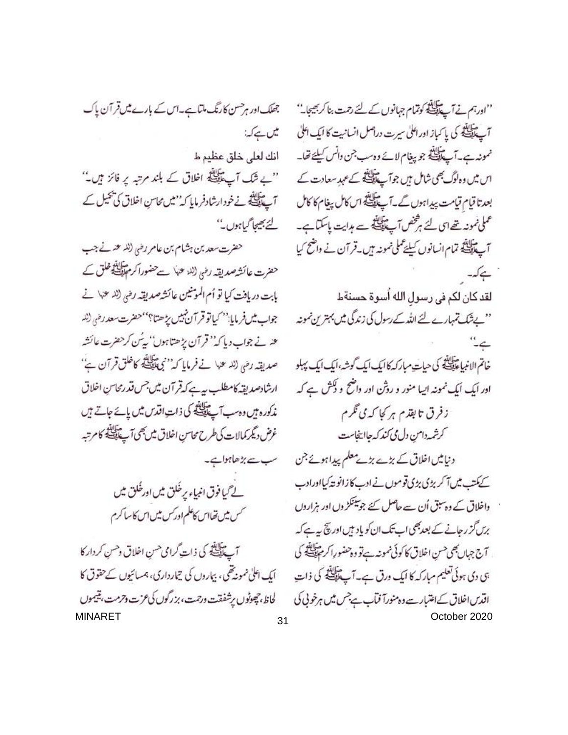جھلک اور ہرحسن کارنگ ملتا ہے۔اس کے بارے میں قر آن پاک يس ہے کہ: انك لعلى خلق عظيم ط "ے شک آپے پیکلینگ اخلاق کے بلند مرتبہ یر فائز ہیں۔" آپ کی ایک فودارشادفرمایا کہ 'میں محاسنِ اخلاق کی بھیل کے لئے بھیجا گیاہوں۔'' حضرت سعد بن ہشام بن عامر رضی (للہ عنہ نے جب حضرت عائش*ة صد*يقه رضي (لله عنها سے حضورا کر م<mark>عليٰ في</mark>و خلق کے بابت دريافت كيا تو أم المومنين عائشة صديقه رضي (لا عنه\ نے جواب ميس فربايا: `` كياتو قر آن نبيس يز هتا؟ '` حضرت سعد رضي (لله حنہ نے جواب دیا کہ'' قرآن پڑھتاہوں'' پیُس کرحضرت عائشہ صديقہ رضى (للہ عنہا نے فرمايا كہ'' نبى تلايقے كاخلق قرآن ہے'' ارشادصديقه كامطلب بيه يحكه قرآن مين جس قدرمحاس اخلاق مذکورہ ہیں وہ سب آپ پالیتی کی ذات اقدس میں یائے جاتے ہیں غرض ديگر كمالات كى طرح محاسن اخلاق ميں بھى آپ تلك كا كامرتبه سب سے بڑھاہواہے۔ لے گیا فوق انبیاء پر خُلق میں اور خُلق میں

آپ پالینس کی ذات گرامی حسن اخلاق دحسن کردار کا ایک اعلیٰ نمونهٔ تھی، بیاروں کی تیارداری، ہمسائیوں کے حقوق کا لحاظ، چھوٹوں پرشفقت ورحت، بزرگوں کی عزت وحرمت، پتیموں

<sup>س</sup>س میں تھااس کاعلم اور *کس میں اس کا سا کر*م

"اورہم نے آپے اللہ کوتمام جہانوں کے لئے رحمت بنا کر بھیجا۔'' آپ پیچینی کی پا کیاز اور اعلیٰ سیرت دراصل انسانیت کا ایک اعلیٰ ممونہ ہے۔آپ پالینڈ جو پیغام لائے وہ سب جن وانس کیلئے تھا۔ اس میں وہ لوگ بھی شامل ہیں جو آپ پانگے کے عہد سعادت کے بعدتا قيام قيامت بيدابون كے -آپ پايلنگه اس كامل بيغام كا كامل عملی نمونہ تھے اس لئے ہڑ خص آپ پالیتھ سے ہدایت پاسکتا ہے۔ آپ پیچینڈ تمام انسانوں کیلئے کملی نمونہ ہیں۔قرآن نے واضح کیا ہےکہ۔ لقد كان لكم فى رسول الله أسوة حسنةط ''بےشک تمہارے لئے اللہ کے رسول کی زندگی میں بہترین نمونہ  $\stackrel{``}{\rightarrow}$ خاتم الانبياءَ اللَّهِ كَى حياتٍ مباركه كا ايك ايك گوشه، ايك ايك پبلو ادر ایک ایک نمونہ ایپا منور و روثن اور دامنع و لکش ہے کہ ز فرق تا بقدم ہر کا کہ می نگرم كرشمه دامن دل مى كند كه جااينجاست دنیامیں اخلاق کے بڑے بڑے معلم پیدا ہوئے جن کے کمتب میں آ کر بڑی بڑی قوموں نے ادب کا زانو تذکیااورادب واخلاق کے وہ سبق اُن سے حاصل کئے جو سینکڑ وں اور ہزاروں برں گز رجانے کے بعد بھی اب تک ان کو یاد ہیں اور پچ ہیے کہ آج جہاں بھی حسنِ اخلاق کا کوئی نمونہ ہےتو وہ حضورِاکر مہنگاتھ کی ہی دی ہوئی تعلیم مبارکہ کا ایک درق ہے۔آپ پیچلنگھ کی ذات اقدس اخلاق کے اعتبارے وہ منورآ فیآب ہے جس میں ہرخونی کی MINARET October 2020 31